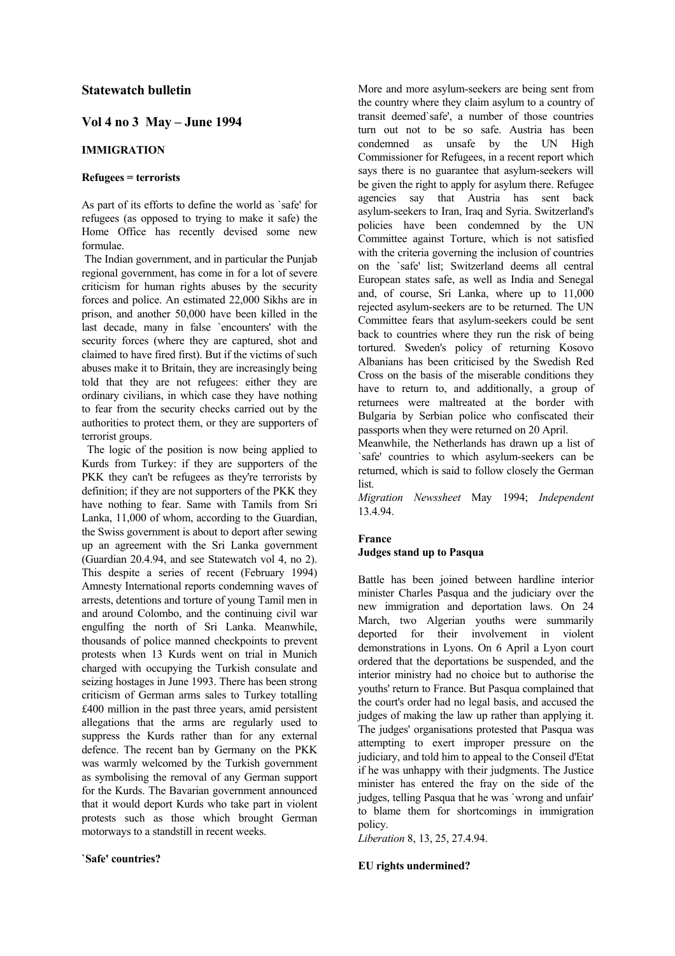# **Statewatch bulletin**

# **Vol 4 no 3 May – June 1994**

# **IMMIGRATION**

# **Refugees = terrorists**

As part of its efforts to define the world as `safe' for refugees (as opposed to trying to make it safe) the Home Office has recently devised some new formulae.

 The Indian government, and in particular the Punjab regional government, has come in for a lot of severe criticism for human rights abuses by the security forces and police. An estimated 22,000 Sikhs are in prison, and another 50,000 have been killed in the last decade, many in false `encounters' with the security forces (where they are captured, shot and claimed to have fired first). But if the victims of such abuses make it to Britain, they are increasingly being told that they are not refugees: either they are ordinary civilians, in which case they have nothing to fear from the security checks carried out by the authorities to protect them, or they are supporters of terrorist groups.

 The logic of the position is now being applied to Kurds from Turkey: if they are supporters of the PKK they can't be refugees as they're terrorists by definition; if they are not supporters of the PKK they have nothing to fear. Same with Tamils from Sri Lanka, 11,000 of whom, according to the Guardian, the Swiss government is about to deport after sewing up an agreement with the Sri Lanka government (Guardian 20.4.94, and see Statewatch vol 4, no 2). This despite a series of recent (February 1994) Amnesty International reports condemning waves of arrests, detentions and torture of young Tamil men in and around Colombo, and the continuing civil war engulfing the north of Sri Lanka. Meanwhile, thousands of police manned checkpoints to prevent protests when 13 Kurds went on trial in Munich charged with occupying the Turkish consulate and seizing hostages in June 1993. There has been strong criticism of German arms sales to Turkey totalling £400 million in the past three years, amid persistent allegations that the arms are regularly used to suppress the Kurds rather than for any external defence. The recent ban by Germany on the PKK was warmly welcomed by the Turkish government as symbolising the removal of any German support for the Kurds. The Bavarian government announced that it would deport Kurds who take part in violent protests such as those which brought German motorways to a standstill in recent weeks.

# **`Safe' countries?**

More and more asylum-seekers are being sent from the country where they claim asylum to a country of transit deemed`safe', a number of those countries turn out not to be so safe. Austria has been condemned as unsafe by the UN High Commissioner for Refugees, in a recent report which says there is no guarantee that asylum-seekers will be given the right to apply for asylum there. Refugee agencies say that Austria has sent back asylum-seekers to Iran, Iraq and Syria. Switzerland's policies have been condemned by the UN Committee against Torture, which is not satisfied with the criteria governing the inclusion of countries on the `safe' list; Switzerland deems all central European states safe, as well as India and Senegal and, of course, Sri Lanka, where up to 11,000 rejected asylum-seekers are to be returned. The UN Committee fears that asylum-seekers could be sent back to countries where they run the risk of being tortured. Sweden's policy of returning Kosovo Albanians has been criticised by the Swedish Red Cross on the basis of the miserable conditions they have to return to, and additionally, a group of returnees were maltreated at the border with Bulgaria by Serbian police who confiscated their passports when they were returned on 20 April.

Meanwhile, the Netherlands has drawn up a list of `safe' countries to which asylum-seekers can be returned, which is said to follow closely the German list.

*Migration Newssheet* May 1994; *Independent* 13.4.94.

# **France Judges stand up to Pasqua**

Battle has been joined between hardline interior minister Charles Pasqua and the judiciary over the new immigration and deportation laws. On 24 March, two Algerian youths were summarily deported for their involvement in violent demonstrations in Lyons. On 6 April a Lyon court ordered that the deportations be suspended, and the interior ministry had no choice but to authorise the youths' return to France. But Pasqua complained that the court's order had no legal basis, and accused the judges of making the law up rather than applying it. The judges' organisations protested that Pasqua was attempting to exert improper pressure on the judiciary, and told him to appeal to the Conseil d'Etat if he was unhappy with their judgments. The Justice minister has entered the fray on the side of the judges, telling Pasqua that he was `wrong and unfair' to blame them for shortcomings in immigration policy.

*Liberation* 8, 13, 25, 27.4.94.

# **EU rights undermined?**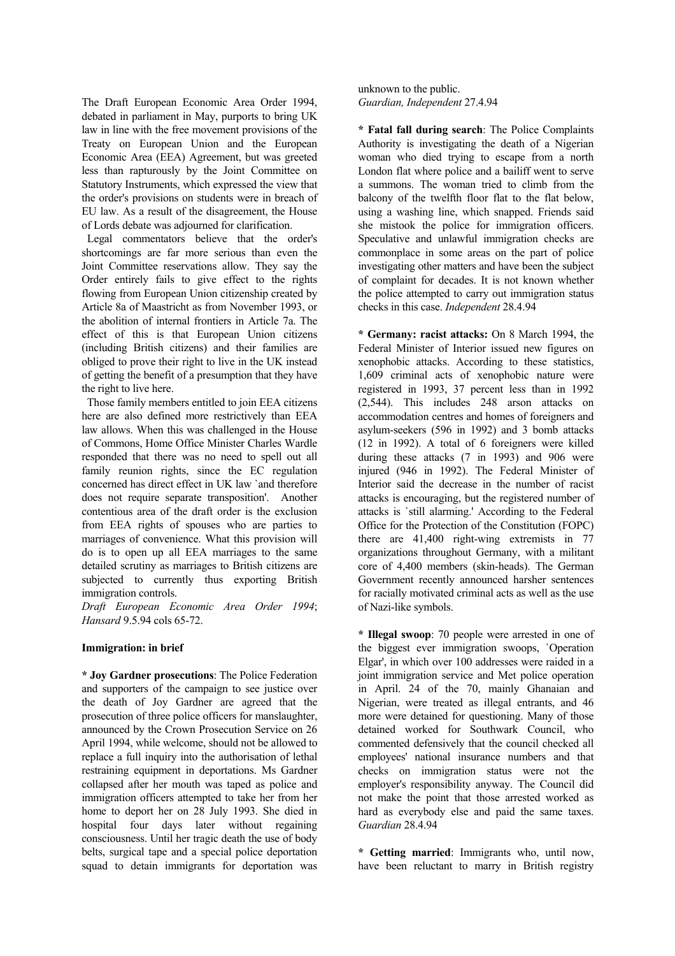The Draft European Economic Area Order 1994, debated in parliament in May, purports to bring UK law in line with the free movement provisions of the Treaty on European Union and the European Economic Area (EEA) Agreement, but was greeted less than rapturously by the Joint Committee on Statutory Instruments, which expressed the view that the order's provisions on students were in breach of EU law. As a result of the disagreement, the House of Lords debate was adjourned for clarification.

 Legal commentators believe that the order's shortcomings are far more serious than even the Joint Committee reservations allow. They say the Order entirely fails to give effect to the rights flowing from European Union citizenship created by Article 8a of Maastricht as from November 1993, or the abolition of internal frontiers in Article 7a. The effect of this is that European Union citizens (including British citizens) and their families are obliged to prove their right to live in the UK instead of getting the benefit of a presumption that they have the right to live here.

 Those family members entitled to join EEA citizens here are also defined more restrictively than EEA law allows. When this was challenged in the House of Commons, Home Office Minister Charles Wardle responded that there was no need to spell out all family reunion rights, since the EC regulation concerned has direct effect in UK law `and therefore does not require separate transposition'. Another contentious area of the draft order is the exclusion from EEA rights of spouses who are parties to marriages of convenience. What this provision will do is to open up all EEA marriages to the same detailed scrutiny as marriages to British citizens are subjected to currently thus exporting British immigration controls.

*Draft European Economic Area Order 1994*; *Hansard* 9.5.94 cols 65-72.

# **Immigration: in brief**

**\* Joy Gardner prosecutions**: The Police Federation and supporters of the campaign to see justice over the death of Joy Gardner are agreed that the prosecution of three police officers for manslaughter, announced by the Crown Prosecution Service on 26 April 1994, while welcome, should not be allowed to replace a full inquiry into the authorisation of lethal restraining equipment in deportations. Ms Gardner collapsed after her mouth was taped as police and immigration officers attempted to take her from her home to deport her on 28 July 1993. She died in hospital four days later without regaining consciousness. Until her tragic death the use of body belts, surgical tape and a special police deportation squad to detain immigrants for deportation was

unknown to the public. *Guardian, Independent* 27.4.94

**\* Fatal fall during search**: The Police Complaints Authority is investigating the death of a Nigerian woman who died trying to escape from a north London flat where police and a bailiff went to serve a summons. The woman tried to climb from the balcony of the twelfth floor flat to the flat below, using a washing line, which snapped. Friends said she mistook the police for immigration officers. Speculative and unlawful immigration checks are commonplace in some areas on the part of police investigating other matters and have been the subject of complaint for decades. It is not known whether the police attempted to carry out immigration status checks in this case. *Independent* 28.4.94

**\* Germany: racist attacks:** On 8 March 1994, the Federal Minister of Interior issued new figures on xenophobic attacks. According to these statistics, 1,609 criminal acts of xenophobic nature were registered in 1993, 37 percent less than in 1992 (2,544). This includes 248 arson attacks on accommodation centres and homes of foreigners and asylum-seekers (596 in 1992) and 3 bomb attacks (12 in 1992). A total of 6 foreigners were killed during these attacks (7 in 1993) and 906 were injured (946 in 1992). The Federal Minister of Interior said the decrease in the number of racist attacks is encouraging, but the registered number of attacks is `still alarming.' According to the Federal Office for the Protection of the Constitution (FOPC) there are 41,400 right-wing extremists in 77 organizations throughout Germany, with a militant core of 4,400 members (skin-heads). The German Government recently announced harsher sentences for racially motivated criminal acts as well as the use of Nazi-like symbols.

**\* Illegal swoop**: 70 people were arrested in one of the biggest ever immigration swoops, `Operation Elgar', in which over 100 addresses were raided in a joint immigration service and Met police operation in April. 24 of the 70, mainly Ghanaian and Nigerian, were treated as illegal entrants, and 46 more were detained for questioning. Many of those detained worked for Southwark Council, who commented defensively that the council checked all employees' national insurance numbers and that checks on immigration status were not the employer's responsibility anyway. The Council did not make the point that those arrested worked as hard as everybody else and paid the same taxes. *Guardian* 28.4.94

**\* Getting married**: Immigrants who, until now, have been reluctant to marry in British registry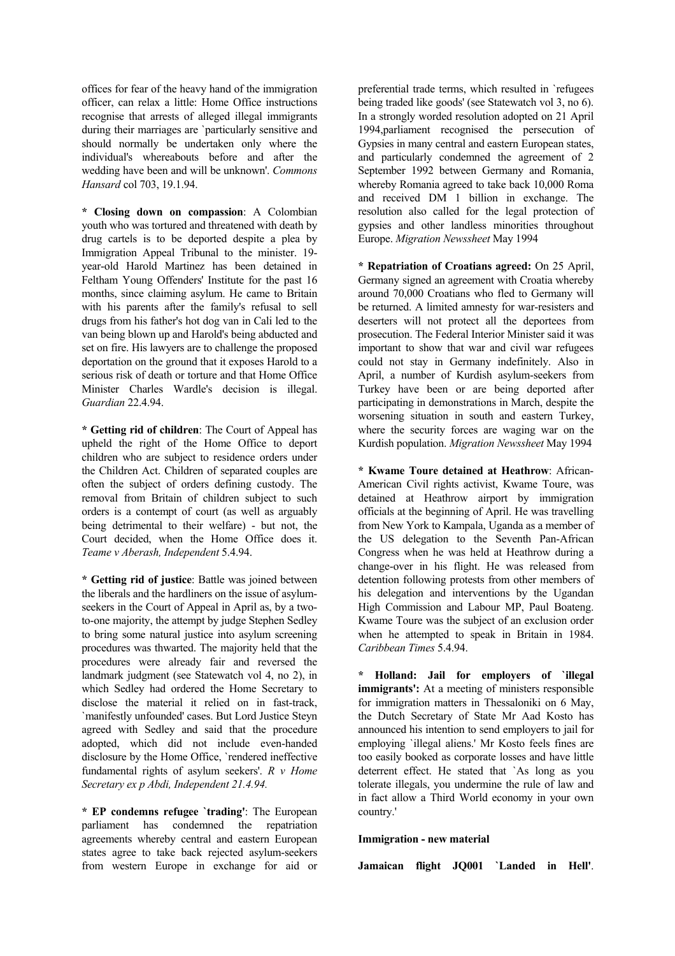offices for fear of the heavy hand of the immigration officer, can relax a little: Home Office instructions recognise that arrests of alleged illegal immigrants during their marriages are `particularly sensitive and should normally be undertaken only where the individual's whereabouts before and after the wedding have been and will be unknown'. *Commons Hansard* col 703, 19.1.94.

**\* Closing down on compassion**: A Colombian youth who was tortured and threatened with death by drug cartels is to be deported despite a plea by Immigration Appeal Tribunal to the minister. 19 year-old Harold Martinez has been detained in Feltham Young Offenders' Institute for the past 16 months, since claiming asylum. He came to Britain with his parents after the family's refusal to sell drugs from his father's hot dog van in Cali led to the van being blown up and Harold's being abducted and set on fire. His lawyers are to challenge the proposed deportation on the ground that it exposes Harold to a serious risk of death or torture and that Home Office Minister Charles Wardle's decision is illegal. *Guardian* 22.4.94.

**\* Getting rid of children**: The Court of Appeal has upheld the right of the Home Office to deport children who are subject to residence orders under the Children Act. Children of separated couples are often the subject of orders defining custody. The removal from Britain of children subject to such orders is a contempt of court (as well as arguably being detrimental to their welfare) - but not, the Court decided, when the Home Office does it. *Teame v Aberash, Independent* 5.4.94.

**\* Getting rid of justice**: Battle was joined between the liberals and the hardliners on the issue of asylumseekers in the Court of Appeal in April as, by a twoto-one majority, the attempt by judge Stephen Sedley to bring some natural justice into asylum screening procedures was thwarted. The majority held that the procedures were already fair and reversed the landmark judgment (see Statewatch vol 4, no 2), in which Sedley had ordered the Home Secretary to disclose the material it relied on in fast-track, `manifestly unfounded' cases. But Lord Justice Steyn agreed with Sedley and said that the procedure adopted, which did not include even-handed disclosure by the Home Office, `rendered ineffective fundamental rights of asylum seekers'. *R v Home Secretary ex p Abdi, Independent 21.4.94.*

**\* EP condemns refugee `trading'**: The European parliament has condemned the repatriation agreements whereby central and eastern European states agree to take back rejected asylum-seekers from western Europe in exchange for aid or preferential trade terms, which resulted in `refugees being traded like goods' (see Statewatch vol 3, no 6). In a strongly worded resolution adopted on 21 April 1994,parliament recognised the persecution of Gypsies in many central and eastern European states, and particularly condemned the agreement of 2 September 1992 between Germany and Romania, whereby Romania agreed to take back 10,000 Roma and received DM 1 billion in exchange. The resolution also called for the legal protection of gypsies and other landless minorities throughout Europe. *Migration Newssheet* May 1994

**\* Repatriation of Croatians agreed:** On 25 April, Germany signed an agreement with Croatia whereby around 70,000 Croatians who fled to Germany will be returned. A limited amnesty for war-resisters and deserters will not protect all the deportees from prosecution. The Federal Interior Minister said it was important to show that war and civil war refugees could not stay in Germany indefinitely. Also in April, a number of Kurdish asylum-seekers from Turkey have been or are being deported after participating in demonstrations in March, despite the worsening situation in south and eastern Turkey, where the security forces are waging war on the Kurdish population. *Migration Newssheet* May 1994

**\* Kwame Toure detained at Heathrow**: African-American Civil rights activist, Kwame Toure, was detained at Heathrow airport by immigration officials at the beginning of April. He was travelling from New York to Kampala, Uganda as a member of the US delegation to the Seventh Pan-African Congress when he was held at Heathrow during a change-over in his flight. He was released from detention following protests from other members of his delegation and interventions by the Ugandan High Commission and Labour MP, Paul Boateng. Kwame Toure was the subject of an exclusion order when he attempted to speak in Britain in 1984. *Caribbean Times* 5.4.94.

**\* Holland: Jail for employers of `illegal immigrants':** At a meeting of ministers responsible for immigration matters in Thessaloniki on 6 May, the Dutch Secretary of State Mr Aad Kosto has announced his intention to send employers to jail for employing `illegal aliens.' Mr Kosto feels fines are too easily booked as corporate losses and have little deterrent effect. He stated that `As long as you tolerate illegals, you undermine the rule of law and in fact allow a Third World economy in your own country.'

# **Immigration - new material**

**Jamaican flight JQ001 `Landed in Hell'**.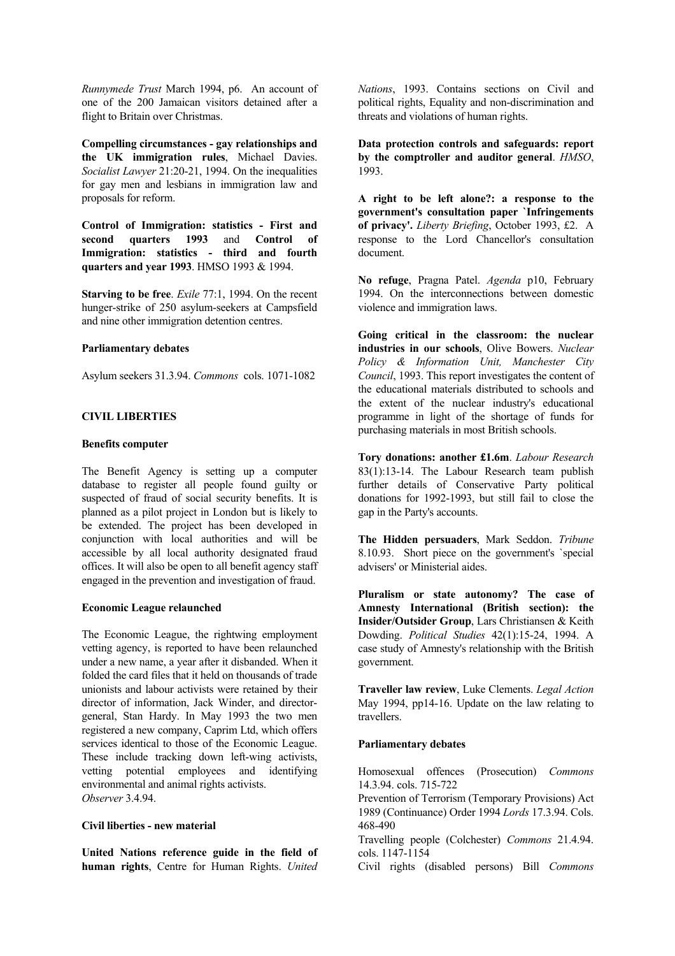*Runnymede Trust* March 1994, p6. An account of one of the 200 Jamaican visitors detained after a flight to Britain over Christmas.

**Compelling circumstances - gay relationships and the UK immigration rules**, Michael Davies. *Socialist Lawyer* 21:20-21, 1994. On the inequalities for gay men and lesbians in immigration law and proposals for reform.

**Control of Immigration: statistics - First and second quarters 1993** and **Control of Immigration: statistics - third and fourth quarters and year 1993**. HMSO 1993 & 1994.

**Starving to be free**. *Exile* 77:1, 1994. On the recent hunger-strike of 250 asylum-seekers at Campsfield and nine other immigration detention centres.

#### **Parliamentary debates**

Asylum seekers 31.3.94. *Commons* cols. 1071-1082

# **CIVIL LIBERTIES**

# **Benefits computer**

The Benefit Agency is setting up a computer database to register all people found guilty or suspected of fraud of social security benefits. It is planned as a pilot project in London but is likely to be extended. The project has been developed in conjunction with local authorities and will be accessible by all local authority designated fraud offices. It will also be open to all benefit agency staff engaged in the prevention and investigation of fraud.

#### **Economic League relaunched**

The Economic League, the rightwing employment vetting agency, is reported to have been relaunched under a new name, a year after it disbanded. When it folded the card files that it held on thousands of trade unionists and labour activists were retained by their director of information, Jack Winder, and directorgeneral, Stan Hardy. In May 1993 the two men registered a new company, Caprim Ltd, which offers services identical to those of the Economic League. These include tracking down left-wing activists, vetting potential employees and identifying environmental and animal rights activists. *Observer* 3.4.94.

#### **Civil liberties - new material**

**United Nations reference guide in the field of human rights**, Centre for Human Rights. *United*  *Nations*, 1993. Contains sections on Civil and political rights, Equality and non-discrimination and threats and violations of human rights.

**Data protection controls and safeguards: report by the comptroller and auditor general**. *HMSO*, 1993.

**A right to be left alone?: a response to the government's consultation paper `Infringements of privacy'.** *Liberty Briefing*, October 1993, £2. A response to the Lord Chancellor's consultation document.

**No refuge**, Pragna Patel. *Agenda* p10, February 1994. On the interconnections between domestic violence and immigration laws.

**Going critical in the classroom: the nuclear industries in our schools**, Olive Bowers. *Nuclear Policy & Information Unit, Manchester City Council*, 1993. This report investigates the content of the educational materials distributed to schools and the extent of the nuclear industry's educational programme in light of the shortage of funds for purchasing materials in most British schools.

**Tory donations: another £1.6m**. *Labour Research* 83(1):13-14. The Labour Research team publish further details of Conservative Party political donations for 1992-1993, but still fail to close the gap in the Party's accounts.

**The Hidden persuaders**, Mark Seddon. *Tribune* 8.10.93. Short piece on the government's `special advisers' or Ministerial aides.

**Pluralism or state autonomy? The case of Amnesty International (British section): the Insider/Outsider Group**, Lars Christiansen & Keith Dowding. *Political Studies* 42(1):15-24, 1994. A case study of Amnesty's relationship with the British government.

**Traveller law review**, Luke Clements. *Legal Action* May 1994, pp14-16. Update on the law relating to travellers.

#### **Parliamentary debates**

Homosexual offences (Prosecution) *Commons* 14.3.94. cols. 715-722

Prevention of Terrorism (Temporary Provisions) Act 1989 (Continuance) Order 1994 *Lords* 17.3.94. Cols. 468-490

Travelling people (Colchester) *Commons* 21.4.94. cols. 1147-1154

Civil rights (disabled persons) Bill *Commons*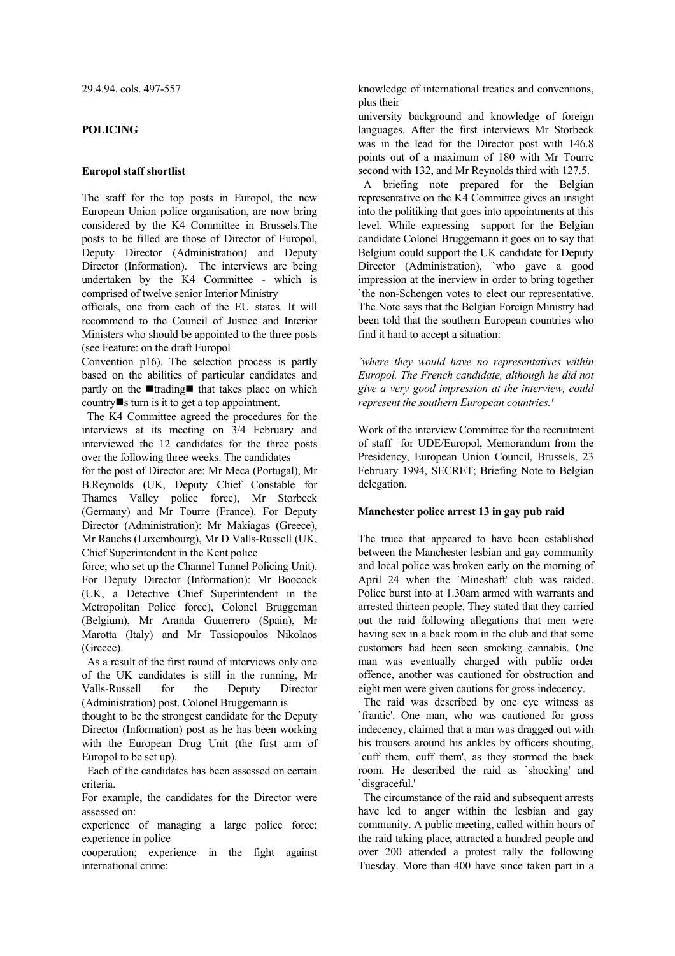#### **POLICING**

## **Europol staff shortlist**

The staff for the top posts in Europol, the new European Union police organisation, are now bring considered by the K4 Committee in Brussels.The posts to be filled are those of Director of Europol, Deputy Director (Administration) and Deputy Director (Information). The interviews are being undertaken by the K4 Committee - which is comprised of twelve senior Interior Ministry

officials, one from each of the EU states. It will recommend to the Council of Justice and Interior Ministers who should be appointed to the three posts (see Feature: on the draft Europol

Convention p16). The selection process is partly based on the abilities of particular candidates and partly on the  $\blacksquare$ trading $\blacksquare$  that takes place on which country  $\blacksquare$  s turn is it to get a top appointment.

 The K4 Committee agreed the procedures for the interviews at its meeting on 3/4 February and interviewed the 12 candidates for the three posts over the following three weeks. The candidates

for the post of Director are: Mr Meca (Portugal), Mr B.Reynolds (UK, Deputy Chief Constable for Thames Valley police force), Mr Storbeck (Germany) and Mr Tourre (France). For Deputy Director (Administration): Mr Makiagas (Greece), Mr Rauchs (Luxembourg), Mr D Valls-Russell (UK, Chief Superintendent in the Kent police

force; who set up the Channel Tunnel Policing Unit). For Deputy Director (Information): Mr Boocock (UK, a Detective Chief Superintendent in the Metropolitan Police force), Colonel Bruggeman (Belgium), Mr Aranda Guuerrero (Spain), Mr Marotta (Italy) and Mr Tassiopoulos Nikolaos (Greece).

 As a result of the first round of interviews only one of the UK candidates is still in the running, Mr Valls-Russell for the Deputy Director (Administration) post. Colonel Bruggemann is

thought to be the strongest candidate for the Deputy Director (Information) post as he has been working with the European Drug Unit (the first arm of Europol to be set up).

 Each of the candidates has been assessed on certain criteria.

For example, the candidates for the Director were assessed on:

experience of managing a large police force; experience in police

cooperation; experience in the fight against international crime;

knowledge of international treaties and conventions, plus their

university background and knowledge of foreign languages. After the first interviews Mr Storbeck was in the lead for the Director post with 146.8 points out of a maximum of 180 with Mr Tourre second with 132, and Mr Reynolds third with 127.5.

 A briefing note prepared for the Belgian representative on the K4 Committee gives an insight into the politiking that goes into appointments at this level. While expressing support for the Belgian candidate Colonel Bruggemann it goes on to say that Belgium could support the UK candidate for Deputy Director (Administration), `who gave a good impression at the inerview in order to bring together `the non-Schengen votes to elect our representative. The Note says that the Belgian Foreign Ministry had been told that the southern European countries who find it hard to accept a situation:

*`where they would have no representatives within Europol. The French candidate, although he did not give a very good impression at the interview, could represent the southern European countries.'* 

Work of the interview Committee for the recruitment of staff for UDE/Europol, Memorandum from the Presidency, European Union Council, Brussels, 23 February 1994, SECRET; Briefing Note to Belgian delegation.

#### **Manchester police arrest 13 in gay pub raid**

The truce that appeared to have been established between the Manchester lesbian and gay community and local police was broken early on the morning of April 24 when the `Mineshaft' club was raided. Police burst into at 1.30am armed with warrants and arrested thirteen people. They stated that they carried out the raid following allegations that men were having sex in a back room in the club and that some customers had been seen smoking cannabis. One man was eventually charged with public order offence, another was cautioned for obstruction and eight men were given cautions for gross indecency.

 The raid was described by one eye witness as `frantic'. One man, who was cautioned for gross indecency, claimed that a man was dragged out with his trousers around his ankles by officers shouting, `cuff them, cuff them', as they stormed the back room. He described the raid as `shocking' and `disgraceful.'

 The circumstance of the raid and subsequent arrests have led to anger within the lesbian and gay community. A public meeting, called within hours of the raid taking place, attracted a hundred people and over 200 attended a protest rally the following Tuesday. More than 400 have since taken part in a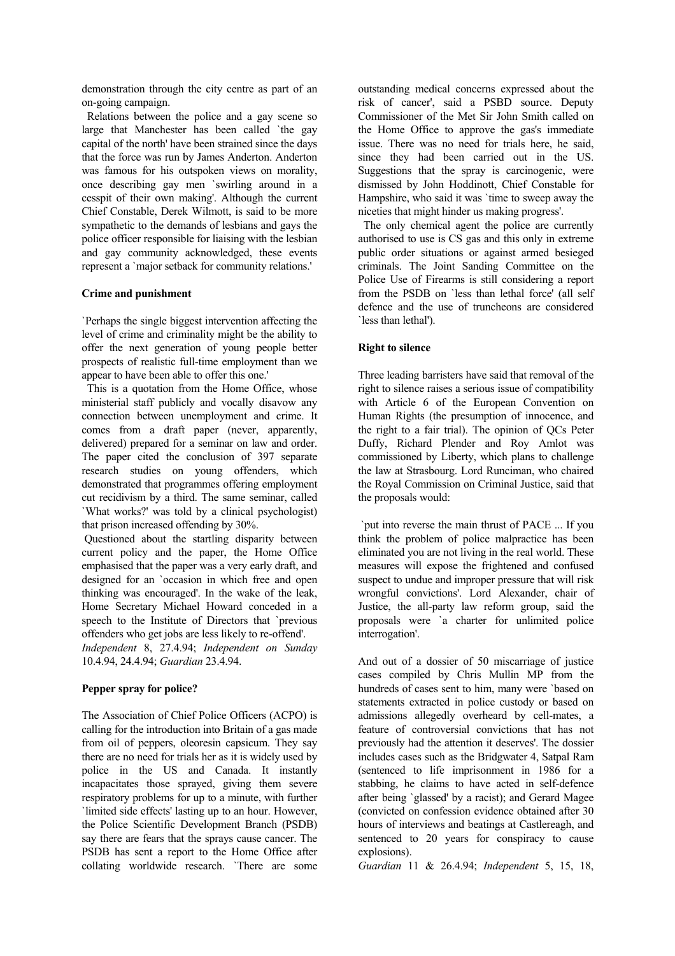demonstration through the city centre as part of an on-going campaign.

 Relations between the police and a gay scene so large that Manchester has been called `the gay capital of the north' have been strained since the days that the force was run by James Anderton. Anderton was famous for his outspoken views on morality, once describing gay men `swirling around in a cesspit of their own making'. Although the current Chief Constable, Derek Wilmott, is said to be more sympathetic to the demands of lesbians and gays the police officer responsible for liaising with the lesbian and gay community acknowledged, these events represent a `major setback for community relations.'

# **Crime and punishment**

`Perhaps the single biggest intervention affecting the level of crime and criminality might be the ability to offer the next generation of young people better prospects of realistic full-time employment than we appear to have been able to offer this one.'

 This is a quotation from the Home Office, whose ministerial staff publicly and vocally disavow any connection between unemployment and crime. It comes from a draft paper (never, apparently, delivered) prepared for a seminar on law and order. The paper cited the conclusion of 397 separate research studies on young offenders, which demonstrated that programmes offering employment cut recidivism by a third. The same seminar, called `What works?' was told by a clinical psychologist) that prison increased offending by 30%.

 Questioned about the startling disparity between current policy and the paper, the Home Office emphasised that the paper was a very early draft, and designed for an `occasion in which free and open thinking was encouraged'. In the wake of the leak, Home Secretary Michael Howard conceded in a speech to the Institute of Directors that `previous offenders who get jobs are less likely to re-offend'. *Independent* 8, 27.4.94; *Independent on Sunday* 10.4.94, 24.4.94; *Guardian* 23.4.94.

# **Pepper spray for police?**

The Association of Chief Police Officers (ACPO) is calling for the introduction into Britain of a gas made from oil of peppers, oleoresin capsicum. They say there are no need for trials her as it is widely used by police in the US and Canada. It instantly incapacitates those sprayed, giving them severe respiratory problems for up to a minute, with further `limited side effects' lasting up to an hour. However, the Police Scientific Development Branch (PSDB) say there are fears that the sprays cause cancer. The PSDB has sent a report to the Home Office after collating worldwide research. `There are some

outstanding medical concerns expressed about the risk of cancer', said a PSBD source. Deputy Commissioner of the Met Sir John Smith called on the Home Office to approve the gas's immediate issue. There was no need for trials here, he said, since they had been carried out in the US. Suggestions that the spray is carcinogenic, were dismissed by John Hoddinott, Chief Constable for Hampshire, who said it was `time to sweep away the niceties that might hinder us making progress'.

 The only chemical agent the police are currently authorised to use is CS gas and this only in extreme public order situations or against armed besieged criminals. The Joint Sanding Committee on the Police Use of Firearms is still considering a report from the PSDB on `less than lethal force' (all self defence and the use of truncheons are considered `less than lethal').

## **Right to silence**

Three leading barristers have said that removal of the right to silence raises a serious issue of compatibility with Article 6 of the European Convention on Human Rights (the presumption of innocence, and the right to a fair trial). The opinion of QCs Peter Duffy, Richard Plender and Roy Amlot was commissioned by Liberty, which plans to challenge the law at Strasbourg. Lord Runciman, who chaired the Royal Commission on Criminal Justice, said that the proposals would:

 `put into reverse the main thrust of PACE ... If you think the problem of police malpractice has been eliminated you are not living in the real world. These measures will expose the frightened and confused suspect to undue and improper pressure that will risk wrongful convictions'. Lord Alexander, chair of Justice, the all-party law reform group, said the proposals were `a charter for unlimited police interrogation'.

And out of a dossier of 50 miscarriage of justice cases compiled by Chris Mullin MP from the hundreds of cases sent to him, many were `based on statements extracted in police custody or based on admissions allegedly overheard by cell-mates, a feature of controversial convictions that has not previously had the attention it deserves'. The dossier includes cases such as the Bridgwater 4, Satpal Ram (sentenced to life imprisonment in 1986 for a stabbing, he claims to have acted in self-defence after being `glassed' by a racist); and Gerard Magee (convicted on confession evidence obtained after 30 hours of interviews and beatings at Castlereagh, and sentenced to 20 years for conspiracy to cause explosions).

*Guardian* 11 & 26.4.94; *Independent* 5, 15, 18,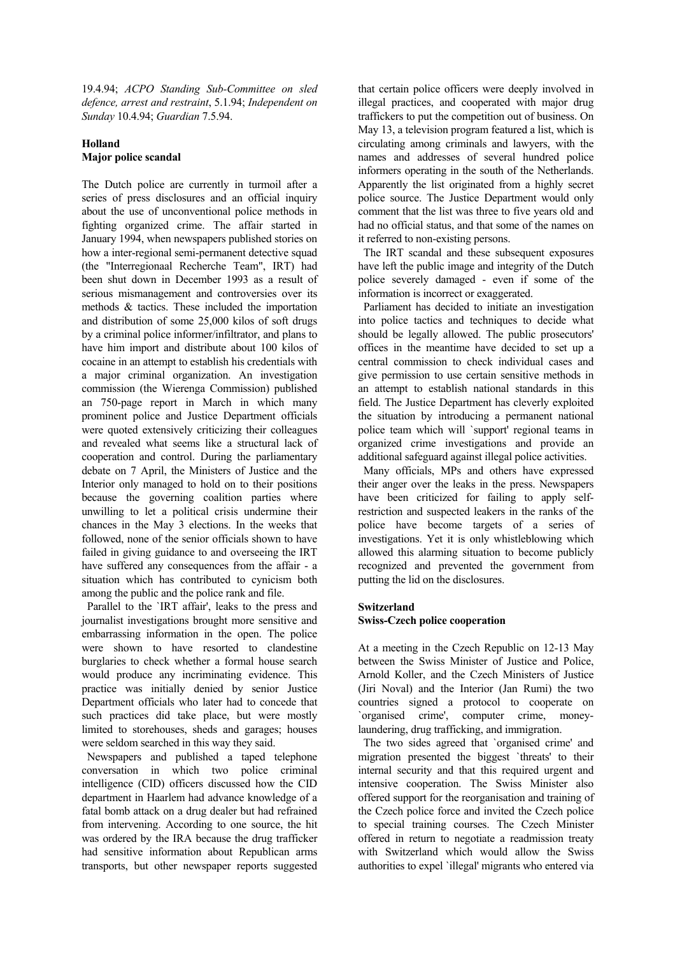19.4.94; *ACPO Standing Sub-Committee on sled defence, arrest and restraint*, 5.1.94; *Independent on Sunday* 10.4.94; *Guardian* 7.5.94.

# **Holland Major police scandal**

The Dutch police are currently in turmoil after a series of press disclosures and an official inquiry about the use of unconventional police methods in fighting organized crime. The affair started in January 1994, when newspapers published stories on how a inter-regional semi-permanent detective squad (the "Interregionaal Recherche Team", IRT) had been shut down in December 1993 as a result of serious mismanagement and controversies over its methods & tactics. These included the importation and distribution of some 25,000 kilos of soft drugs by a criminal police informer/infiltrator, and plans to have him import and distribute about 100 kilos of cocaine in an attempt to establish his credentials with a major criminal organization. An investigation commission (the Wierenga Commission) published an 750-page report in March in which many prominent police and Justice Department officials were quoted extensively criticizing their colleagues and revealed what seems like a structural lack of cooperation and control. During the parliamentary debate on 7 April, the Ministers of Justice and the Interior only managed to hold on to their positions because the governing coalition parties where unwilling to let a political crisis undermine their chances in the May 3 elections. In the weeks that followed, none of the senior officials shown to have failed in giving guidance to and overseeing the IRT have suffered any consequences from the affair - a situation which has contributed to cynicism both among the public and the police rank and file.

 Parallel to the `IRT affair', leaks to the press and journalist investigations brought more sensitive and embarrassing information in the open. The police were shown to have resorted to clandestine burglaries to check whether a formal house search would produce any incriminating evidence. This practice was initially denied by senior Justice Department officials who later had to concede that such practices did take place, but were mostly limited to storehouses, sheds and garages; houses were seldom searched in this way they said.

 Newspapers and published a taped telephone conversation in which two police criminal intelligence (CID) officers discussed how the CID department in Haarlem had advance knowledge of a fatal bomb attack on a drug dealer but had refrained from intervening. According to one source, the hit was ordered by the IRA because the drug trafficker had sensitive information about Republican arms transports, but other newspaper reports suggested that certain police officers were deeply involved in illegal practices, and cooperated with major drug traffickers to put the competition out of business. On May 13, a television program featured a list, which is circulating among criminals and lawyers, with the names and addresses of several hundred police informers operating in the south of the Netherlands. Apparently the list originated from a highly secret police source. The Justice Department would only comment that the list was three to five years old and had no official status, and that some of the names on it referred to non-existing persons.

 The IRT scandal and these subsequent exposures have left the public image and integrity of the Dutch police severely damaged - even if some of the information is incorrect or exaggerated.

 Parliament has decided to initiate an investigation into police tactics and techniques to decide what should be legally allowed. The public prosecutors' offices in the meantime have decided to set up a central commission to check individual cases and give permission to use certain sensitive methods in an attempt to establish national standards in this field. The Justice Department has cleverly exploited the situation by introducing a permanent national police team which will `support' regional teams in organized crime investigations and provide an additional safeguard against illegal police activities.

 Many officials, MPs and others have expressed their anger over the leaks in the press. Newspapers have been criticized for failing to apply selfrestriction and suspected leakers in the ranks of the police have become targets of a series of investigations. Yet it is only whistleblowing which allowed this alarming situation to become publicly recognized and prevented the government from putting the lid on the disclosures.

# **Switzerland**

# **Swiss-Czech police cooperation**

At a meeting in the Czech Republic on 12-13 May between the Swiss Minister of Justice and Police, Arnold Koller, and the Czech Ministers of Justice (Jiri Noval) and the Interior (Jan Rumi) the two countries signed a protocol to cooperate on `organised crime', computer crime, moneylaundering, drug trafficking, and immigration.

 The two sides agreed that `organised crime' and migration presented the biggest `threats' to their internal security and that this required urgent and intensive cooperation. The Swiss Minister also offered support for the reorganisation and training of the Czech police force and invited the Czech police to special training courses. The Czech Minister offered in return to negotiate a readmission treaty with Switzerland which would allow the Swiss authorities to expel `illegal' migrants who entered via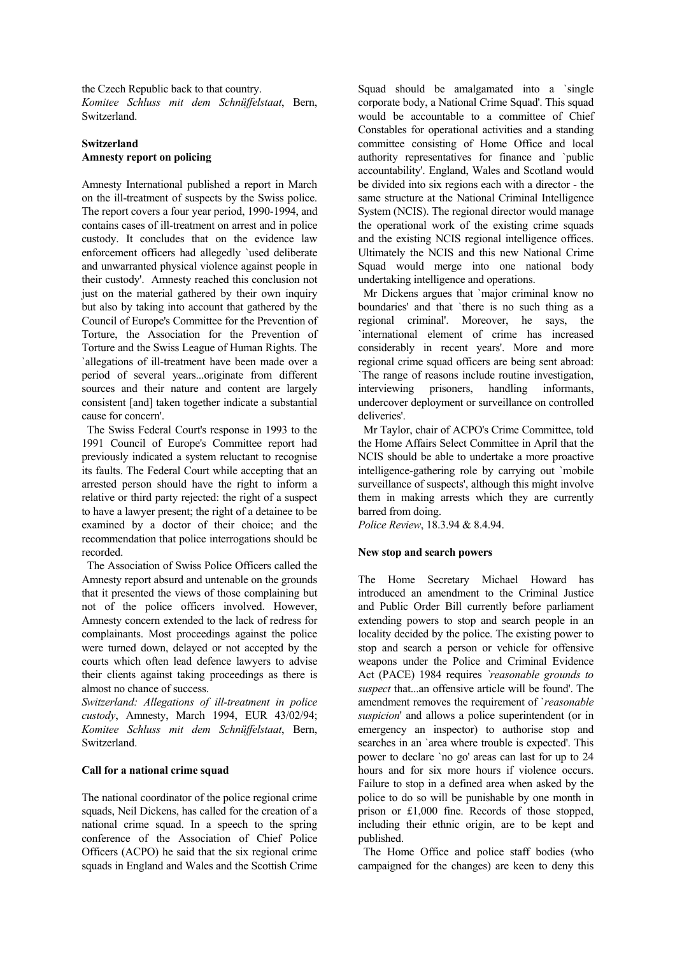the Czech Republic back to that country. *Komitee Schluss mit dem Schnüffelstaat*, Bern, Switzerland.

# **Switzerland Amnesty report on policing**

Amnesty International published a report in March on the ill-treatment of suspects by the Swiss police. The report covers a four year period, 1990-1994, and contains cases of ill-treatment on arrest and in police custody. It concludes that on the evidence law enforcement officers had allegedly `used deliberate and unwarranted physical violence against people in their custody'. Amnesty reached this conclusion not just on the material gathered by their own inquiry but also by taking into account that gathered by the Council of Europe's Committee for the Prevention of Torture, the Association for the Prevention of Torture and the Swiss League of Human Rights. The `allegations of ill-treatment have been made over a period of several years...originate from different sources and their nature and content are largely consistent [and] taken together indicate a substantial cause for concern'.

 The Swiss Federal Court's response in 1993 to the 1991 Council of Europe's Committee report had previously indicated a system reluctant to recognise its faults. The Federal Court while accepting that an arrested person should have the right to inform a relative or third party rejected: the right of a suspect to have a lawyer present; the right of a detainee to be examined by a doctor of their choice; and the recommendation that police interrogations should be recorded.

 The Association of Swiss Police Officers called the Amnesty report absurd and untenable on the grounds that it presented the views of those complaining but not of the police officers involved. However, Amnesty concern extended to the lack of redress for complainants. Most proceedings against the police were turned down, delayed or not accepted by the courts which often lead defence lawyers to advise their clients against taking proceedings as there is almost no chance of success.

*Switzerland: Allegations of ill-treatment in police custody*, Amnesty, March 1994, EUR 43/02/94; *Komitee Schluss mit dem Schnüffelstaat*, Bern, Switzerland.

# **Call for a national crime squad**

The national coordinator of the police regional crime squads, Neil Dickens, has called for the creation of a national crime squad. In a speech to the spring conference of the Association of Chief Police Officers (ACPO) he said that the six regional crime squads in England and Wales and the Scottish Crime Squad should be amalgamated into a `single corporate body, a National Crime Squad'. This squad would be accountable to a committee of Chief Constables for operational activities and a standing committee consisting of Home Office and local authority representatives for finance and `public accountability'. England, Wales and Scotland would be divided into six regions each with a director - the same structure at the National Criminal Intelligence System (NCIS). The regional director would manage the operational work of the existing crime squads and the existing NCIS regional intelligence offices. Ultimately the NCIS and this new National Crime Squad would merge into one national body undertaking intelligence and operations.

 Mr Dickens argues that `major criminal know no boundaries' and that `there is no such thing as a regional criminal'. Moreover, he says, the `international element of crime has increased considerably in recent years'. More and more regional crime squad officers are being sent abroad: `The range of reasons include routine investigation, interviewing prisoners, handling informants, undercover deployment or surveillance on controlled deliveries'.

 Mr Taylor, chair of ACPO's Crime Committee, told the Home Affairs Select Committee in April that the NCIS should be able to undertake a more proactive intelligence-gathering role by carrying out `mobile surveillance of suspects', although this might involve them in making arrests which they are currently barred from doing.

*Police Review*, 18.3.94 & 8.4.94.

# **New stop and search powers**

The Home Secretary Michael Howard has introduced an amendment to the Criminal Justice and Public Order Bill currently before parliament extending powers to stop and search people in an locality decided by the police. The existing power to stop and search a person or vehicle for offensive weapons under the Police and Criminal Evidence Act (PACE) 1984 requires *`reasonable grounds to suspect* that...an offensive article will be found'. The amendment removes the requirement of `*reasonable suspicion*' and allows a police superintendent (or in emergency an inspector) to authorise stop and searches in an `area where trouble is expected'. This power to declare `no go' areas can last for up to 24 hours and for six more hours if violence occurs. Failure to stop in a defined area when asked by the police to do so will be punishable by one month in prison or £1,000 fine. Records of those stopped, including their ethnic origin, are to be kept and published.

 The Home Office and police staff bodies (who campaigned for the changes) are keen to deny this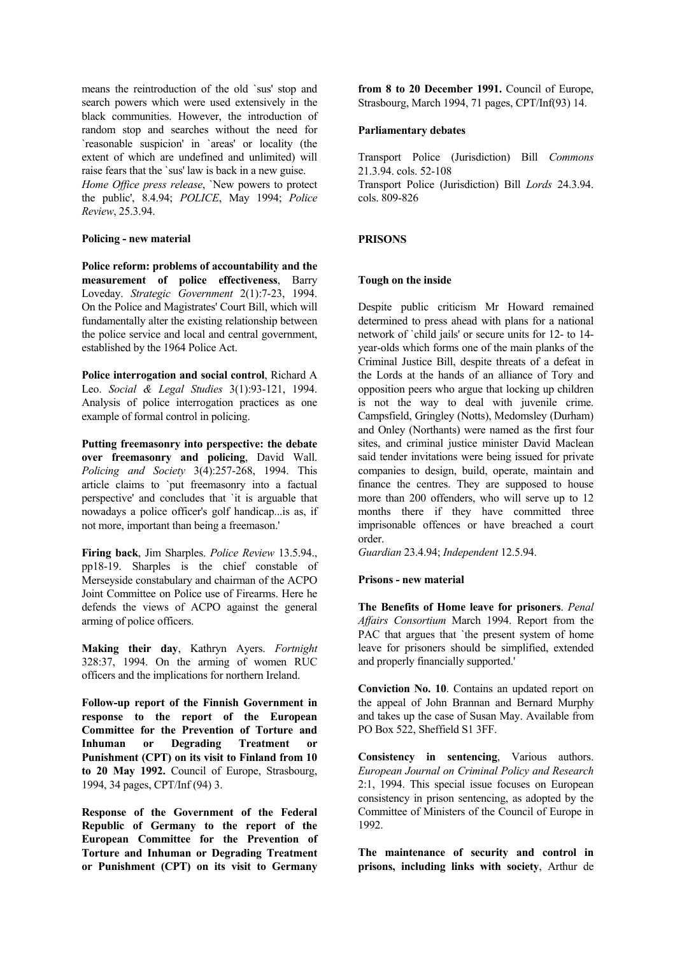means the reintroduction of the old `sus' stop and search powers which were used extensively in the black communities. However, the introduction of random stop and searches without the need for `reasonable suspicion' in `areas' or locality (the extent of which are undefined and unlimited) will raise fears that the `sus' law is back in a new guise.

*Home Office press release*, `New powers to protect the public', 8.4.94; *POLICE*, May 1994; *Police Review*, 25.3.94.

## **Policing - new material**

**Police reform: problems of accountability and the measurement of police effectiveness**, Barry Loveday. *Strategic Government* 2(1):7-23, 1994. On the Police and Magistrates' Court Bill, which will fundamentally alter the existing relationship between the police service and local and central government, established by the 1964 Police Act.

**Police interrogation and social control**, Richard A Leo. *Social & Legal Studies* 3(1):93-121, 1994. Analysis of police interrogation practices as one example of formal control in policing.

**Putting freemasonry into perspective: the debate over freemasonry and policing**, David Wall. *Policing and Society* 3(4):257-268, 1994. This article claims to `put freemasonry into a factual perspective' and concludes that `it is arguable that nowadays a police officer's golf handicap...is as, if not more, important than being a freemason.'

**Firing back**, Jim Sharples. *Police Review* 13.5.94., pp18-19. Sharples is the chief constable of Merseyside constabulary and chairman of the ACPO Joint Committee on Police use of Firearms. Here he defends the views of ACPO against the general arming of police officers.

**Making their day**, Kathryn Ayers. *Fortnight* 328:37, 1994. On the arming of women RUC officers and the implications for northern Ireland.

**Follow-up report of the Finnish Government in response to the report of the European Committee for the Prevention of Torture and Inhuman or Degrading Treatment or Punishment (CPT) on its visit to Finland from 10 to 20 May 1992.** Council of Europe, Strasbourg, 1994, 34 pages, CPT/Inf (94) 3.

**Response of the Government of the Federal Republic of Germany to the report of the European Committee for the Prevention of Torture and Inhuman or Degrading Treatment or Punishment (CPT) on its visit to Germany** 

**from 8 to 20 December 1991.** Council of Europe, Strasbourg, March 1994, 71 pages, CPT/Inf(93) 14.

#### **Parliamentary debates**

Transport Police (Jurisdiction) Bill *Commons* 21.3.94. cols. 52-108 Transport Police (Jurisdiction) Bill *Lords* 24.3.94. cols. 809-826

# **PRISONS**

## **Tough on the inside**

Despite public criticism Mr Howard remained determined to press ahead with plans for a national network of `child jails' or secure units for 12- to 14 year-olds which forms one of the main planks of the Criminal Justice Bill, despite threats of a defeat in the Lords at the hands of an alliance of Tory and opposition peers who argue that locking up children is not the way to deal with juvenile crime. Campsfield, Gringley (Notts), Medomsley (Durham) and Onley (Northants) were named as the first four sites, and criminal justice minister David Maclean said tender invitations were being issued for private companies to design, build, operate, maintain and finance the centres. They are supposed to house more than 200 offenders, who will serve up to 12 months there if they have committed three imprisonable offences or have breached a court order.

*Guardian* 23.4.94; *Independent* 12.5.94.

# **Prisons - new material**

**The Benefits of Home leave for prisoners**. *Penal Affairs Consortium* March 1994. Report from the PAC that argues that `the present system of home leave for prisoners should be simplified, extended and properly financially supported.'

**Conviction No. 10**. Contains an updated report on the appeal of John Brannan and Bernard Murphy and takes up the case of Susan May. Available from PO Box 522, Sheffield S1 3FF.

**Consistency in sentencing**, Various authors. *European Journal on Criminal Policy and Research* 2:1, 1994. This special issue focuses on European consistency in prison sentencing, as adopted by the Committee of Ministers of the Council of Europe in 1992.

**The maintenance of security and control in prisons, including links with society**, Arthur de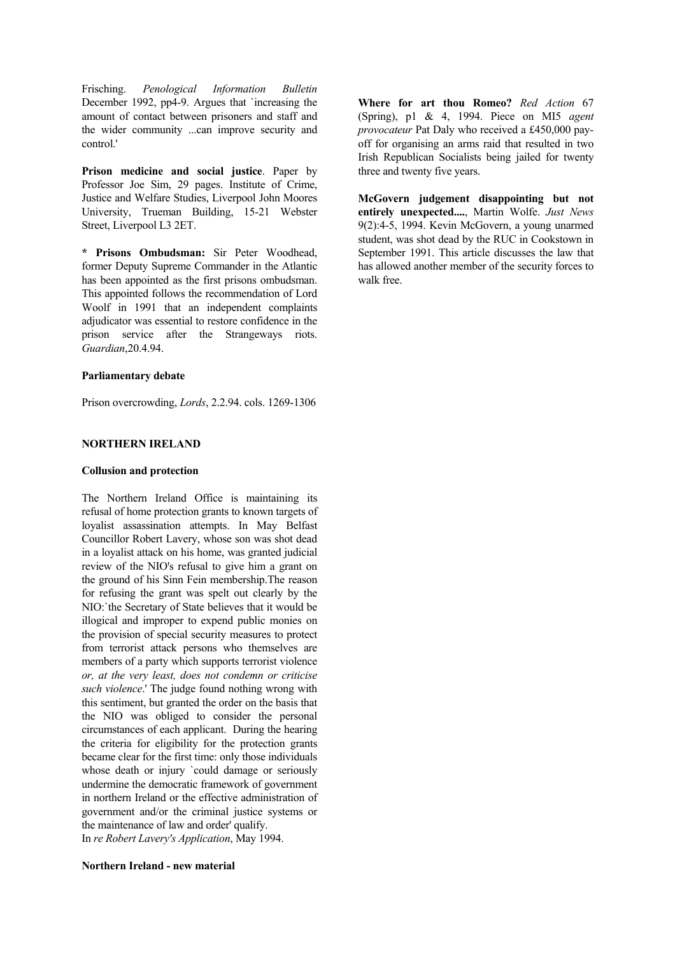Frisching. *Penological Information Bulletin* December 1992, pp4-9. Argues that `increasing the amount of contact between prisoners and staff and the wider community ...can improve security and control.'

**Prison medicine and social justice**. Paper by Professor Joe Sim, 29 pages. Institute of Crime, Justice and Welfare Studies, Liverpool John Moores University, Trueman Building, 15-21 Webster Street, Liverpool L3 2ET.

**\* Prisons Ombudsman:** Sir Peter Woodhead, former Deputy Supreme Commander in the Atlantic has been appointed as the first prisons ombudsman. This appointed follows the recommendation of Lord Woolf in 1991 that an independent complaints adjudicator was essential to restore confidence in the prison service after the Strangeways riots. *Guardian*,20.4.94.

#### **Parliamentary debate**

Prison overcrowding, *Lords*, 2.2.94. cols. 1269-1306

## **NORTHERN IRELAND**

#### **Collusion and protection**

The Northern Ireland Office is maintaining its refusal of home protection grants to known targets of loyalist assassination attempts. In May Belfast Councillor Robert Lavery, whose son was shot dead in a loyalist attack on his home, was granted judicial review of the NIO's refusal to give him a grant on the ground of his Sinn Fein membership.The reason for refusing the grant was spelt out clearly by the NIO:`the Secretary of State believes that it would be illogical and improper to expend public monies on the provision of special security measures to protect from terrorist attack persons who themselves are members of a party which supports terrorist violence *or, at the very least, does not condemn or criticise such violence*.' The judge found nothing wrong with this sentiment, but granted the order on the basis that the NIO was obliged to consider the personal circumstances of each applicant. During the hearing the criteria for eligibility for the protection grants became clear for the first time: only those individuals whose death or injury `could damage or seriously undermine the democratic framework of government in northern Ireland or the effective administration of government and/or the criminal justice systems or the maintenance of law and order' qualify.

In *re Robert Lavery's Application*, May 1994.

**Northern Ireland - new material**

**Where for art thou Romeo?** *Red Action* 67 (Spring), p1 & 4, 1994. Piece on MI5 *agent provocateur* Pat Daly who received a £450,000 payoff for organising an arms raid that resulted in two Irish Republican Socialists being jailed for twenty three and twenty five years.

**McGovern judgement disappointing but not entirely unexpected....**, Martin Wolfe. *Just News* 9(2):4-5, 1994. Kevin McGovern, a young unarmed student, was shot dead by the RUC in Cookstown in September 1991. This article discusses the law that has allowed another member of the security forces to walk free.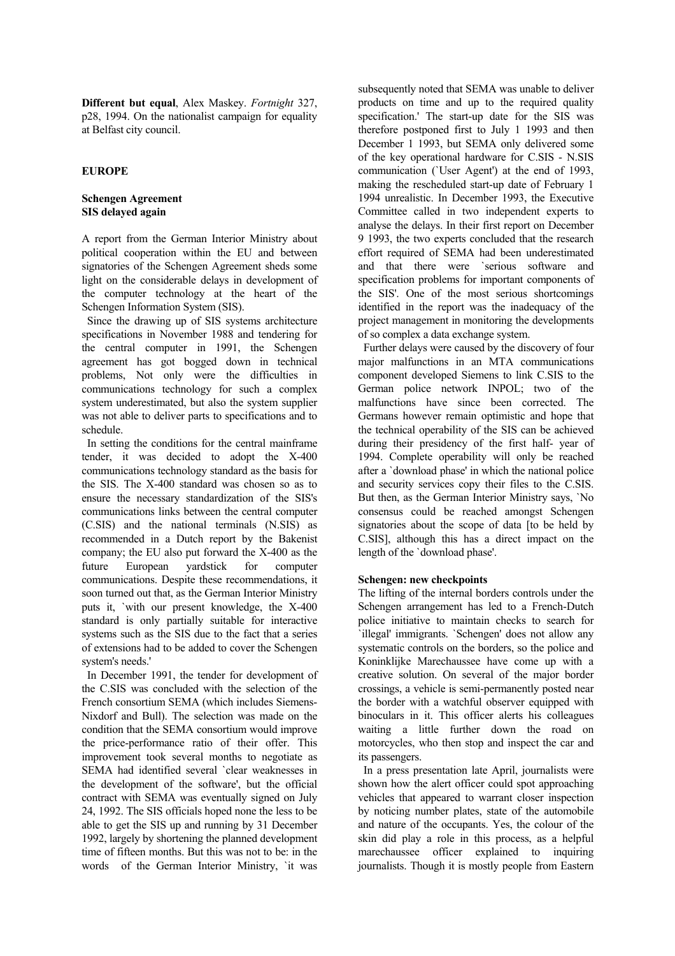**Different but equal**, Alex Maskey. *Fortnight* 327, p28, 1994. On the nationalist campaign for equality at Belfast city council.

# **EUROPE**

# **Schengen Agreement SIS delayed again**

A report from the German Interior Ministry about political cooperation within the EU and between signatories of the Schengen Agreement sheds some light on the considerable delays in development of the computer technology at the heart of the Schengen Information System (SIS).

 Since the drawing up of SIS systems architecture specifications in November 1988 and tendering for the central computer in 1991, the Schengen agreement has got bogged down in technical problems, Not only were the difficulties in communications technology for such a complex system underestimated, but also the system supplier was not able to deliver parts to specifications and to schedule.

 In setting the conditions for the central mainframe tender, it was decided to adopt the X-400 communications technology standard as the basis for the SIS. The X-400 standard was chosen so as to ensure the necessary standardization of the SIS's communications links between the central computer (C.SIS) and the national terminals (N.SIS) as recommended in a Dutch report by the Bakenist company; the EU also put forward the X-400 as the future European yardstick for computer communications. Despite these recommendations, it soon turned out that, as the German Interior Ministry puts it, `with our present knowledge, the X-400 standard is only partially suitable for interactive systems such as the SIS due to the fact that a series of extensions had to be added to cover the Schengen system's needs.'

 In December 1991, the tender for development of the C.SIS was concluded with the selection of the French consortium SEMA (which includes Siemens-Nixdorf and Bull). The selection was made on the condition that the SEMA consortium would improve the price-performance ratio of their offer. This improvement took several months to negotiate as SEMA had identified several `clear weaknesses in the development of the software', but the official contract with SEMA was eventually signed on July 24, 1992. The SIS officials hoped none the less to be able to get the SIS up and running by 31 December 1992, largely by shortening the planned development time of fifteen months. But this was not to be: in the words of the German Interior Ministry, `it was subsequently noted that SEMA was unable to deliver products on time and up to the required quality specification.' The start-up date for the SIS was therefore postponed first to July 1 1993 and then December 1 1993, but SEMA only delivered some of the key operational hardware for C.SIS - N.SIS communication (`User Agent') at the end of 1993, making the rescheduled start-up date of February 1 1994 unrealistic. In December 1993, the Executive Committee called in two independent experts to analyse the delays. In their first report on December 9 1993, the two experts concluded that the research effort required of SEMA had been underestimated and that there were `serious software and specification problems for important components of the SIS'. One of the most serious shortcomings identified in the report was the inadequacy of the project management in monitoring the developments of so complex a data exchange system.

 Further delays were caused by the discovery of four major malfunctions in an MTA communications component developed Siemens to link C.SIS to the German police network INPOL; two of the malfunctions have since been corrected. The Germans however remain optimistic and hope that the technical operability of the SIS can be achieved during their presidency of the first half- year of 1994. Complete operability will only be reached after a `download phase' in which the national police and security services copy their files to the C.SIS. But then, as the German Interior Ministry says, `No consensus could be reached amongst Schengen signatories about the scope of data [to be held by C.SIS], although this has a direct impact on the length of the `download phase'.

# **Schengen: new checkpoints**

The lifting of the internal borders controls under the Schengen arrangement has led to a French-Dutch police initiative to maintain checks to search for `illegal' immigrants. `Schengen' does not allow any systematic controls on the borders, so the police and Koninklijke Marechaussee have come up with a creative solution. On several of the major border crossings, a vehicle is semi-permanently posted near the border with a watchful observer equipped with binoculars in it. This officer alerts his colleagues waiting a little further down the road on motorcycles, who then stop and inspect the car and its passengers.

 In a press presentation late April, journalists were shown how the alert officer could spot approaching vehicles that appeared to warrant closer inspection by noticing number plates, state of the automobile and nature of the occupants. Yes, the colour of the skin did play a role in this process, as a helpful marechaussee officer explained to inquiring journalists. Though it is mostly people from Eastern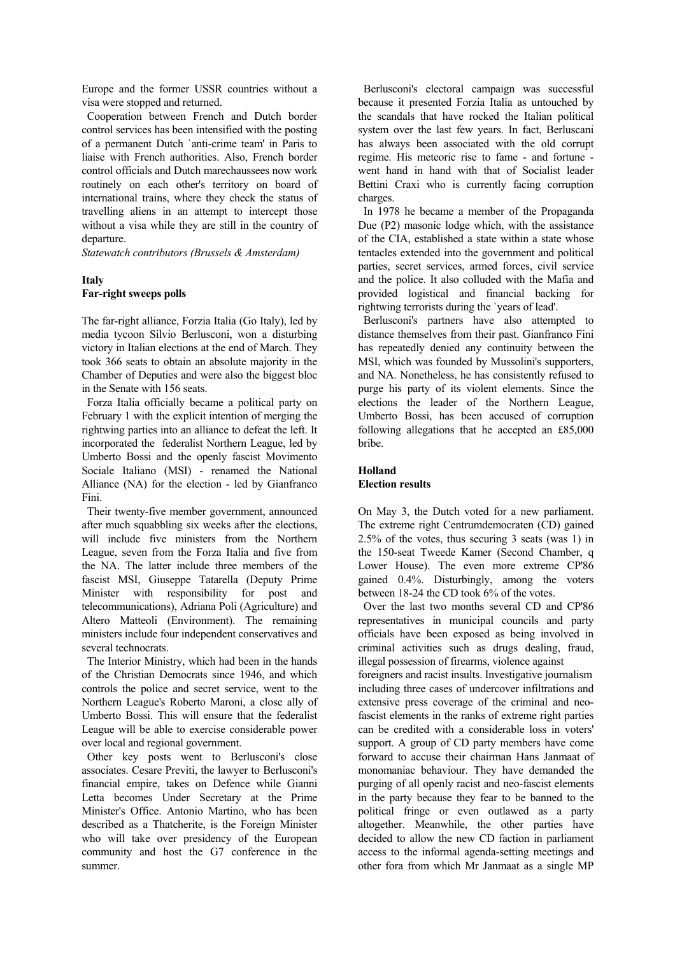Europe and the former USSR countries without a visa were stopped and returned.

 Cooperation between French and Dutch border control services has been intensified with the posting of a permanent Dutch `anti-crime team' in Paris to liaise with French authorities. Also, French border control officials and Dutch marechaussees now work routinely on each other's territory on board of international trains, where they check the status of travelling aliens in an attempt to intercept those without a visa while they are still in the country of departure.

*Statewatch contributors (Brussels & Amsterdam)*

# **Italy Far-right sweeps polls**

The far-right alliance, Forzia Italia (Go Italy), led by media tycoon Silvio Berlusconi, won a disturbing victory in Italian elections at the end of March. They took 366 seats to obtain an absolute majority in the Chamber of Deputies and were also the biggest bloc in the Senate with 156 seats.

 Forza Italia officially became a political party on February 1 with the explicit intention of merging the rightwing parties into an alliance to defeat the left. It incorporated the federalist Northern League, led by Umberto Bossi and the openly fascist Movimento Sociale Italiano (MSI) - renamed the National Alliance (NA) for the election - led by Gianfranco Fini.

 Their twenty-five member government, announced after much squabbling six weeks after the elections, will include five ministers from the Northern League, seven from the Forza Italia and five from the NA. The latter include three members of the fascist MSI, Giuseppe Tatarella (Deputy Prime Minister with responsibility for post and telecommunications), Adriana Poli (Agriculture) and Altero Matteoli (Environment). The remaining ministers include four independent conservatives and several technocrats.

 The Interior Ministry, which had been in the hands of the Christian Democrats since 1946, and which controls the police and secret service, went to the Northern League's Roberto Maroni, a close ally of Umberto Bossi. This will ensure that the federalist League will be able to exercise considerable power over local and regional government.

 Other key posts went to Berlusconi's close associates. Cesare Previti, the lawyer to Berlusconi's financial empire, takes on Defence while Gianni Letta becomes Under Secretary at the Prime Minister's Office. Antonio Martino, who has been described as a Thatcherite, is the Foreign Minister who will take over presidency of the European community and host the G7 conference in the summer.

 Berlusconi's electoral campaign was successful because it presented Forzia Italia as untouched by the scandals that have rocked the Italian political system over the last few years. In fact, Berluscani has always been associated with the old corrupt regime. His meteoric rise to fame - and fortune went hand in hand with that of Socialist leader Bettini Craxi who is currently facing corruption charges.

 In 1978 he became a member of the Propaganda Due (P2) masonic lodge which, with the assistance of the CIA, established a state within a state whose tentacles extended into the government and political parties, secret services, armed forces, civil service and the police. It also colluded with the Mafia and provided logistical and financial backing for rightwing terrorists during the `years of lead'.

 Berlusconi's partners have also attempted to distance themselves from their past. Gianfranco Fini has repeatedly denied any continuity between the MSI, which was founded by Mussolini's supporters, and NA. Nonetheless, he has consistently refused to purge his party of its violent elements. Since the elections the leader of the Northern League, Umberto Bossi, has been accused of corruption following allegations that he accepted an £85,000 bribe.

#### **Holland Election results**

On May 3, the Dutch voted for a new parliament. The extreme right Centrumdemocraten (CD) gained 2.5% of the votes, thus securing 3 seats (was 1) in the 150-seat Tweede Kamer (Second Chamber, q Lower House). The even more extreme CP'86 gained 0.4%. Disturbingly, among the voters between 18-24 the CD took 6% of the votes.

 Over the last two months several CD and CP'86 representatives in municipal councils and party officials have been exposed as being involved in criminal activities such as drugs dealing, fraud, illegal possession of firearms, violence against

foreigners and racist insults. Investigative journalism including three cases of undercover infiltrations and extensive press coverage of the criminal and neofascist elements in the ranks of extreme right parties can be credited with a considerable loss in voters' support. A group of CD party members have come forward to accuse their chairman Hans Janmaat of monomaniac behaviour. They have demanded the purging of all openly racist and neo-fascist elements in the party because they fear to be banned to the political fringe or even outlawed as a party altogether. Meanwhile, the other parties have decided to allow the new CD faction in parliament access to the informal agenda-setting meetings and other fora from which Mr Janmaat as a single MP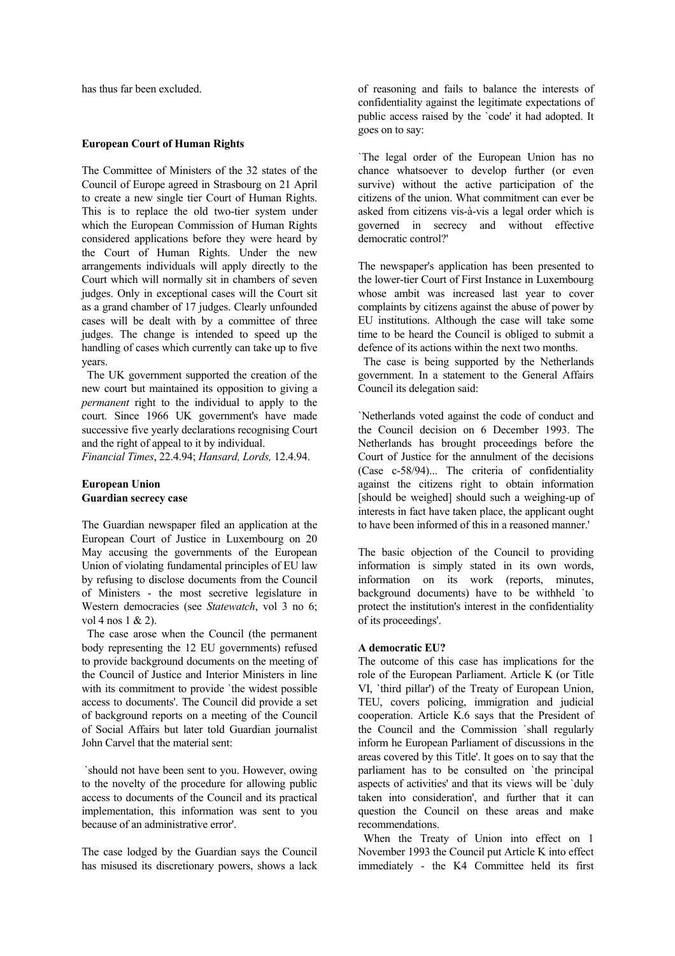has thus far been excluded.

## **European Court of Human Rights**

The Committee of Ministers of the 32 states of the Council of Europe agreed in Strasbourg on 21 April to create a new single tier Court of Human Rights. This is to replace the old two-tier system under which the European Commission of Human Rights considered applications before they were heard by the Court of Human Rights. Under the new arrangements individuals will apply directly to the Court which will normally sit in chambers of seven judges. Only in exceptional cases will the Court sit as a grand chamber of 17 judges. Clearly unfounded cases will be dealt with by a committee of three judges. The change is intended to speed up the handling of cases which currently can take up to five years.

 The UK government supported the creation of the new court but maintained its opposition to giving a *permanent* right to the individual to apply to the court. Since 1966 UK government's have made successive five yearly declarations recognising Court and the right of appeal to it by individual.

*Financial Times*, 22.4.94; *Hansard, Lords,* 12.4.94.

# **European Union Guardian secrecy case**

The Guardian newspaper filed an application at the European Court of Justice in Luxembourg on 20 May accusing the governments of the European Union of violating fundamental principles of EU law by refusing to disclose documents from the Council of Ministers - the most secretive legislature in Western democracies (see *Statewatch*, vol 3 no 6; vol 4 nos 1 & 2).

 The case arose when the Council (the permanent body representing the 12 EU governments) refused to provide background documents on the meeting of the Council of Justice and Interior Ministers in line with its commitment to provide 'the widest possible access to documents'. The Council did provide a set of background reports on a meeting of the Council of Social Affairs but later told Guardian journalist John Carvel that the material sent:

 `should not have been sent to you. However, owing to the novelty of the procedure for allowing public access to documents of the Council and its practical implementation, this information was sent to you because of an administrative error'.

The case lodged by the Guardian says the Council has misused its discretionary powers, shows a lack of reasoning and fails to balance the interests of confidentiality against the legitimate expectations of public access raised by the `code' it had adopted. It goes on to say:

`The legal order of the European Union has no chance whatsoever to develop further (or even survive) without the active participation of the citizens of the union. What commitment can ever be asked from citizens vis-à-vis a legal order which is governed in secrecy and without effective democratic control?'

The newspaper's application has been presented to the lower-tier Court of First Instance in Luxembourg whose ambit was increased last year to cover complaints by citizens against the abuse of power by EU institutions. Although the case will take some time to be heard the Council is obliged to submit a defence of its actions within the next two months.

 The case is being supported by the Netherlands government. In a statement to the General Affairs Council its delegation said:

`Netherlands voted against the code of conduct and the Council decision on 6 December 1993. The Netherlands has brought proceedings before the Court of Justice for the annulment of the decisions (Case c-58/94)... The criteria of confidentiality against the citizens right to obtain information [should be weighed] should such a weighing-up of interests in fact have taken place, the applicant ought to have been informed of this in a reasoned manner.'

The basic objection of the Council to providing information is simply stated in its own words, information on its work (reports, minutes, background documents) have to be withheld `to protect the institution's interest in the confidentiality of its proceedings'.

#### **A democratic EU?**

The outcome of this case has implications for the role of the European Parliament. Article K (or Title VI, `third pillar') of the Treaty of European Union, TEU, covers policing, immigration and judicial cooperation. Article K.6 says that the President of the Council and the Commission `shall regularly inform he European Parliament of discussions in the areas covered by this Title'. It goes on to say that the parliament has to be consulted on `the principal aspects of activities' and that its views will be `duly taken into consideration', and further that it can question the Council on these areas and make recommendations.

 When the Treaty of Union into effect on 1 November 1993 the Council put Article K into effect immediately - the K4 Committee held its first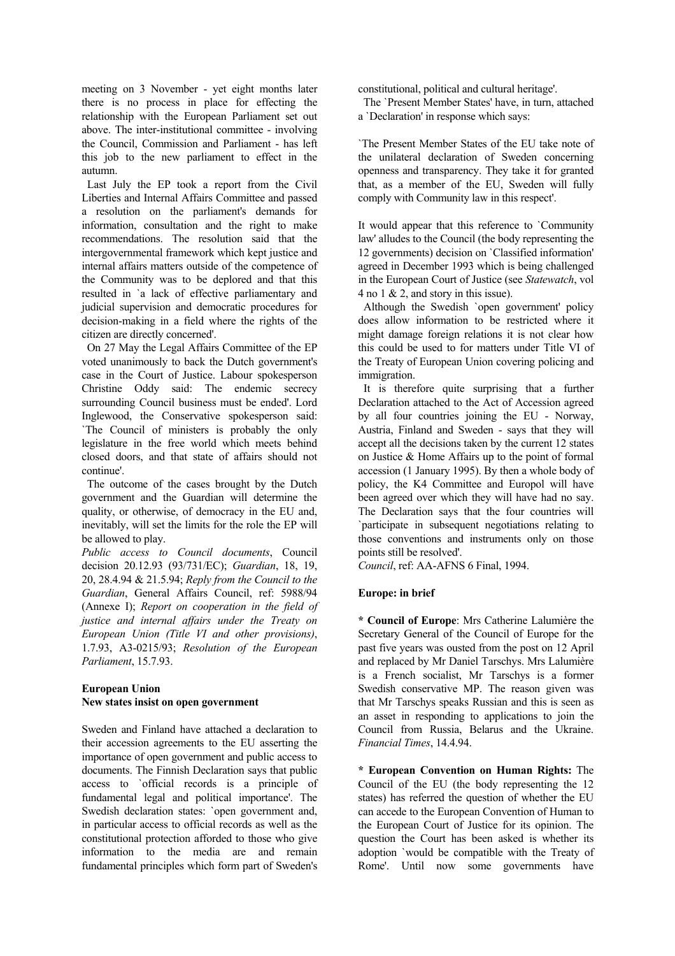meeting on 3 November - yet eight months later there is no process in place for effecting the relationship with the European Parliament set out above. The inter-institutional committee - involving the Council, Commission and Parliament - has left this job to the new parliament to effect in the autumn.

 Last July the EP took a report from the Civil Liberties and Internal Affairs Committee and passed a resolution on the parliament's demands for information, consultation and the right to make recommendations. The resolution said that the intergovernmental framework which kept justice and internal affairs matters outside of the competence of the Community was to be deplored and that this resulted in `a lack of effective parliamentary and judicial supervision and democratic procedures for decision-making in a field where the rights of the citizen are directly concerned'.

 On 27 May the Legal Affairs Committee of the EP voted unanimously to back the Dutch government's case in the Court of Justice. Labour spokesperson Christine Oddy said: The endemic secrecy surrounding Council business must be ended'. Lord Inglewood, the Conservative spokesperson said: `The Council of ministers is probably the only legislature in the free world which meets behind closed doors, and that state of affairs should not continue'.

 The outcome of the cases brought by the Dutch government and the Guardian will determine the quality, or otherwise, of democracy in the EU and, inevitably, will set the limits for the role the EP will be allowed to play.

*Public access to Council documents*, Council decision 20.12.93 (93/731/EC); *Guardian*, 18, 19, 20, 28.4.94 & 21.5.94; *Reply from the Council to the Guardian*, General Affairs Council, ref: 5988/94 (Annexe I); *Report on cooperation in the field of justice and internal affairs under the Treaty on European Union (Title VI and other provisions)*, 1.7.93, A3-0215/93; *Resolution of the European Parliament*, 15.7.93.

# **European Union New states insist on open government**

Sweden and Finland have attached a declaration to their accession agreements to the EU asserting the importance of open government and public access to documents. The Finnish Declaration says that public access to `official records is a principle of fundamental legal and political importance'. The Swedish declaration states: `open government and, in particular access to official records as well as the constitutional protection afforded to those who give information to the media are and remain fundamental principles which form part of Sweden's constitutional, political and cultural heritage'.

 The `Present Member States' have, in turn, attached a `Declaration' in response which says:

`The Present Member States of the EU take note of the unilateral declaration of Sweden concerning openness and transparency. They take it for granted that, as a member of the EU, Sweden will fully comply with Community law in this respect'.

It would appear that this reference to `Community law' alludes to the Council (the body representing the 12 governments) decision on `Classified information' agreed in December 1993 which is being challenged in the European Court of Justice (see *Statewatch*, vol 4 no 1 & 2, and story in this issue).

 Although the Swedish `open government' policy does allow information to be restricted where it might damage foreign relations it is not clear how this could be used to for matters under Title VI of the Treaty of European Union covering policing and immigration.

 It is therefore quite surprising that a further Declaration attached to the Act of Accession agreed by all four countries joining the EU - Norway, Austria, Finland and Sweden - says that they will accept all the decisions taken by the current 12 states on Justice & Home Affairs up to the point of formal accession (1 January 1995). By then a whole body of policy, the K4 Committee and Europol will have been agreed over which they will have had no say. The Declaration says that the four countries will `participate in subsequent negotiations relating to those conventions and instruments only on those points still be resolved'.

*Council*, ref: AA-AFNS 6 Final, 1994.

# **Europe: in brief**

**\* Council of Europe**: Mrs Catherine Lalumière the Secretary General of the Council of Europe for the past five years was ousted from the post on 12 April and replaced by Mr Daniel Tarschys. Mrs Lalumière is a French socialist, Mr Tarschys is a former Swedish conservative MP. The reason given was that Mr Tarschys speaks Russian and this is seen as an asset in responding to applications to join the Council from Russia, Belarus and the Ukraine. *Financial Times*, 14.4.94.

**\* European Convention on Human Rights:** The Council of the EU (the body representing the 12 states) has referred the question of whether the EU can accede to the European Convention of Human to the European Court of Justice for its opinion. The question the Court has been asked is whether its adoption `would be compatible with the Treaty of Rome'. Until now some governments have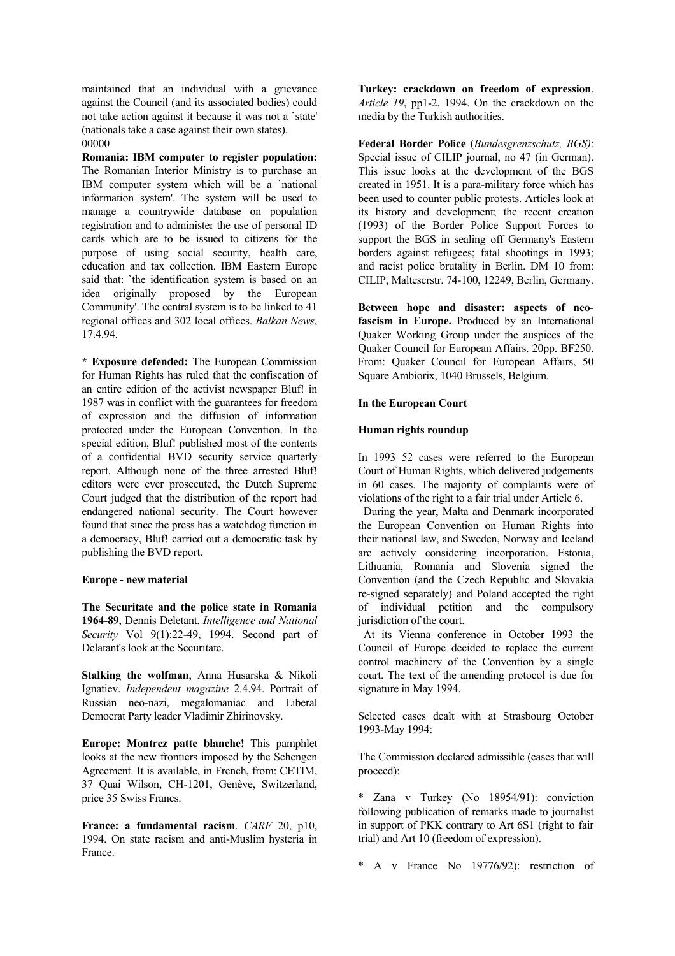maintained that an individual with a grievance against the Council (and its associated bodies) could not take action against it because it was not a `state' (nationals take a case against their own states). 00000

**Romania: IBM computer to register population:** The Romanian Interior Ministry is to purchase an IBM computer system which will be a `national information system'. The system will be used to manage a countrywide database on population registration and to administer the use of personal ID cards which are to be issued to citizens for the purpose of using social security, health care, education and tax collection. IBM Eastern Europe said that: 'the identification system is based on an idea originally proposed by the European Community'. The central system is to be linked to 41 regional offices and 302 local offices. *Balkan News*, 17.4.94.

**\* Exposure defended:** The European Commission for Human Rights has ruled that the confiscation of an entire edition of the activist newspaper Bluf! in 1987 was in conflict with the guarantees for freedom of expression and the diffusion of information protected under the European Convention. In the special edition. Bluf! published most of the contents of a confidential BVD security service quarterly report. Although none of the three arrested Bluf! editors were ever prosecuted, the Dutch Supreme Court judged that the distribution of the report had endangered national security. The Court however found that since the press has a watchdog function in a democracy, Bluf! carried out a democratic task by publishing the BVD report.

#### **Europe - new material**

**The Securitate and the police state in Romania 1964-89**, Dennis Deletant. *Intelligence and National Security* Vol 9(1):22-49, 1994. Second part of Delatant's look at the Securitate.

**Stalking the wolfman**, Anna Husarska & Nikoli Ignatiev. *Independent magazine* 2.4.94. Portrait of Russian neo-nazi, megalomaniac and Liberal Democrat Party leader Vladimir Zhirinovsky.

**Europe: Montrez patte blanche!** This pamphlet looks at the new frontiers imposed by the Schengen Agreement. It is available, in French, from: CETIM, 37 Quai Wilson, CH-1201, Genève, Switzerland, price 35 Swiss Francs.

**France: a fundamental racism**. *CARF* 20, p10, 1994. On state racism and anti-Muslim hysteria in France.

**Turkey: crackdown on freedom of expression**. *Article 19*, pp1-2, 1994. On the crackdown on the media by the Turkish authorities.

**Federal Border Police** (*Bundesgrenzschutz, BGS)*: Special issue of CILIP journal, no 47 (in German). This issue looks at the development of the BGS created in 1951. It is a para-military force which has been used to counter public protests. Articles look at its history and development; the recent creation (1993) of the Border Police Support Forces to support the BGS in sealing off Germany's Eastern borders against refugees; fatal shootings in 1993; and racist police brutality in Berlin. DM 10 from: CILIP, Malteserstr. 74-100, 12249, Berlin, Germany.

**Between hope and disaster: aspects of neofascism in Europe.** Produced by an International Quaker Working Group under the auspices of the Quaker Council for European Affairs. 20pp. BF250. From: Quaker Council for European Affairs, 50 Square Ambiorix, 1040 Brussels, Belgium.

## **In the European Court**

#### **Human rights roundup**

In 1993 52 cases were referred to the European Court of Human Rights, which delivered judgements in 60 cases. The majority of complaints were of violations of the right to a fair trial under Article 6.

 During the year, Malta and Denmark incorporated the European Convention on Human Rights into their national law, and Sweden, Norway and Iceland are actively considering incorporation. Estonia, Lithuania, Romania and Slovenia signed the Convention (and the Czech Republic and Slovakia re-signed separately) and Poland accepted the right of individual petition and the compulsory jurisdiction of the court.

 At its Vienna conference in October 1993 the Council of Europe decided to replace the current control machinery of the Convention by a single court. The text of the amending protocol is due for signature in May 1994.

Selected cases dealt with at Strasbourg October 1993-May 1994:

The Commission declared admissible (cases that will proceed):

\* Zana v Turkey (No 18954/91): conviction following publication of remarks made to journalist in support of PKK contrary to Art 6S1 (right to fair trial) and Art 10 (freedom of expression).

\* A v France No 19776/92): restriction of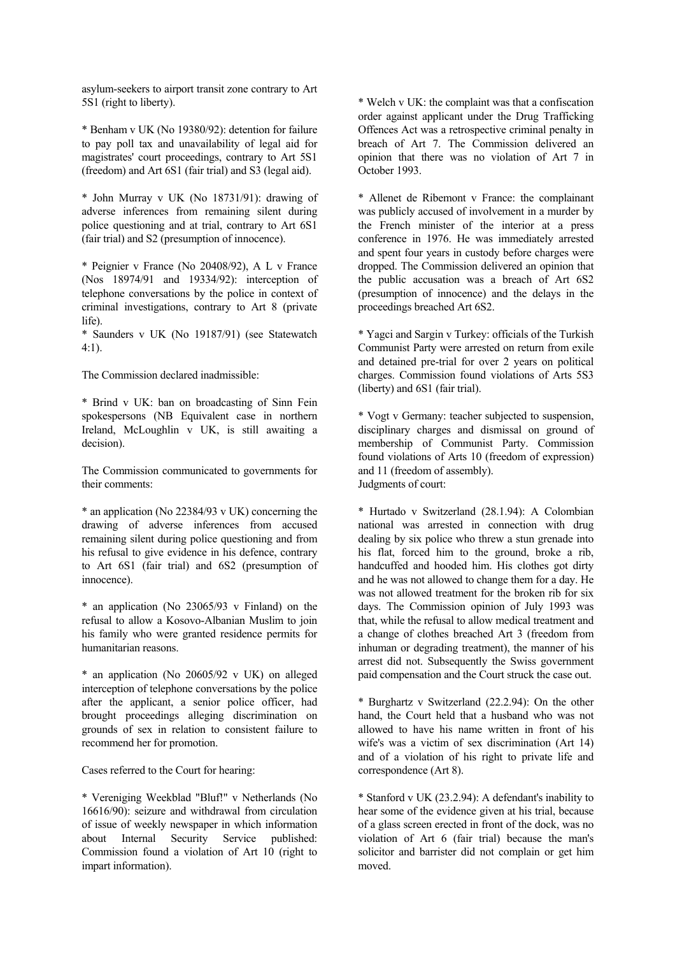asylum-seekers to airport transit zone contrary to Art 5S1 (right to liberty).

\* Benham v UK (No 19380/92): detention for failure to pay poll tax and unavailability of legal aid for magistrates' court proceedings, contrary to Art 5S1 (freedom) and Art 6S1 (fair trial) and S3 (legal aid).

\* John Murray v UK (No 18731/91): drawing of adverse inferences from remaining silent during police questioning and at trial, contrary to Art 6S1 (fair trial) and S2 (presumption of innocence).

\* Peignier v France (No 20408/92), A L v France (Nos 18974/91 and 19334/92): interception of telephone conversations by the police in context of criminal investigations, contrary to Art 8 (private life).

\* Saunders v UK (No 19187/91) (see Statewatch 4:1).

The Commission declared inadmissible:

\* Brind v UK: ban on broadcasting of Sinn Fein spokespersons (NB Equivalent case in northern Ireland, McLoughlin v UK, is still awaiting a decision).

The Commission communicated to governments for their comments:

\* an application (No 22384/93 v UK) concerning the drawing of adverse inferences from accused remaining silent during police questioning and from his refusal to give evidence in his defence, contrary to Art 6S1 (fair trial) and 6S2 (presumption of innocence).

\* an application (No 23065/93 v Finland) on the refusal to allow a Kosovo-Albanian Muslim to join his family who were granted residence permits for humanitarian reasons.

\* an application (No 20605/92 v UK) on alleged interception of telephone conversations by the police after the applicant, a senior police officer, had brought proceedings alleging discrimination on grounds of sex in relation to consistent failure to recommend her for promotion.

Cases referred to the Court for hearing:

\* Vereniging Weekblad "Bluf!" v Netherlands (No 16616/90): seizure and withdrawal from circulation of issue of weekly newspaper in which information about Internal Security Service published: Commission found a violation of Art 10 (right to impart information).

\* Welch v UK: the complaint was that a confiscation order against applicant under the Drug Trafficking Offences Act was a retrospective criminal penalty in breach of Art 7. The Commission delivered an opinion that there was no violation of Art 7 in October 1993.

\* Allenet de Ribemont v France: the complainant was publicly accused of involvement in a murder by the French minister of the interior at a press conference in 1976. He was immediately arrested and spent four years in custody before charges were dropped. The Commission delivered an opinion that the public accusation was a breach of Art 6S2 (presumption of innocence) and the delays in the proceedings breached Art 6S2.

\* Yagci and Sargin v Turkey: officials of the Turkish Communist Party were arrested on return from exile and detained pre-trial for over 2 years on political charges. Commission found violations of Arts 5S3 (liberty) and 6S1 (fair trial).

\* Vogt v Germany: teacher subjected to suspension, disciplinary charges and dismissal on ground of membership of Communist Party. Commission found violations of Arts 10 (freedom of expression) and 11 (freedom of assembly). Judgments of court:

\* Hurtado v Switzerland (28.1.94): A Colombian national was arrested in connection with drug dealing by six police who threw a stun grenade into his flat, forced him to the ground, broke a rib, handcuffed and hooded him. His clothes got dirty and he was not allowed to change them for a day. He was not allowed treatment for the broken rib for six days. The Commission opinion of July 1993 was that, while the refusal to allow medical treatment and a change of clothes breached Art 3 (freedom from inhuman or degrading treatment), the manner of his arrest did not. Subsequently the Swiss government paid compensation and the Court struck the case out.

\* Burghartz v Switzerland (22.2.94): On the other hand, the Court held that a husband who was not allowed to have his name written in front of his wife's was a victim of sex discrimination (Art 14) and of a violation of his right to private life and correspondence (Art 8).

\* Stanford v UK (23.2.94): A defendant's inability to hear some of the evidence given at his trial, because of a glass screen erected in front of the dock, was no violation of Art 6 (fair trial) because the man's solicitor and barrister did not complain or get him moved.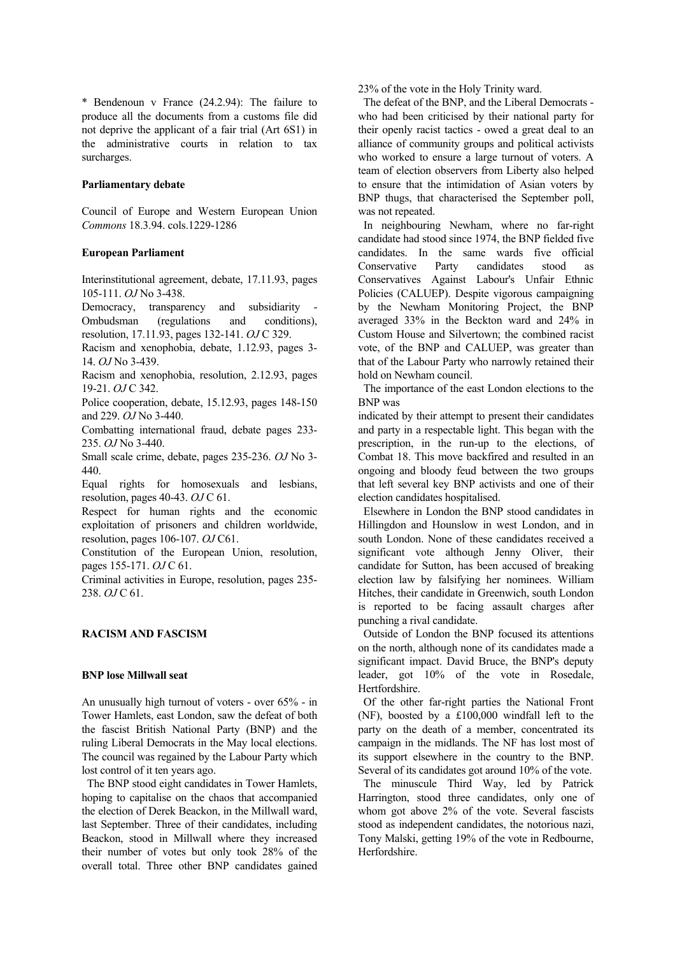\* Bendenoun v France (24.2.94): The failure to produce all the documents from a customs file did not deprive the applicant of a fair trial (Art 6S1) in the administrative courts in relation to tax surcharges.

#### **Parliamentary debate**

Council of Europe and Western European Union *Commons* 18.3.94. cols.1229-1286

#### **European Parliament**

Interinstitutional agreement, debate, 17.11.93, pages 105-111. *OJ* No 3-438.

Democracy, transparency and subsidiarity Ombudsman (regulations and conditions), resolution, 17.11.93, pages 132-141. *OJ* C 329.

Racism and xenophobia, debate, 1.12.93, pages 3- 14. *OJ* No 3-439.

Racism and xenophobia, resolution, 2.12.93, pages 19-21. *OJ* C 342.

Police cooperation, debate, 15.12.93, pages 148-150 and 229. *OJ* No 3-440.

Combatting international fraud, debate pages 233- 235. *OJ* No 3-440.

Small scale crime, debate, pages 235-236. *OJ* No 3- 440.

Equal rights for homosexuals and lesbians, resolution, pages 40-43. *OJ* C 61.

Respect for human rights and the economic exploitation of prisoners and children worldwide, resolution, pages 106-107. *OJ* C61.

Constitution of the European Union, resolution, pages 155-171. *OJ* C 61.

Criminal activities in Europe, resolution, pages 235- 238. *OJ* C 61.

## **RACISM AND FASCISM**

#### **BNP lose Millwall seat**

An unusually high turnout of voters - over 65% - in Tower Hamlets, east London, saw the defeat of both the fascist British National Party (BNP) and the ruling Liberal Democrats in the May local elections. The council was regained by the Labour Party which lost control of it ten years ago.

 The BNP stood eight candidates in Tower Hamlets, hoping to capitalise on the chaos that accompanied the election of Derek Beackon, in the Millwall ward, last September. Three of their candidates, including Beackon, stood in Millwall where they increased their number of votes but only took 28% of the overall total. Three other BNP candidates gained 23% of the vote in the Holy Trinity ward.

 The defeat of the BNP, and the Liberal Democrats who had been criticised by their national party for their openly racist tactics - owed a great deal to an alliance of community groups and political activists who worked to ensure a large turnout of voters. A team of election observers from Liberty also helped to ensure that the intimidation of Asian voters by BNP thugs, that characterised the September poll, was not repeated.

 In neighbouring Newham, where no far-right candidate had stood since 1974, the BNP fielded five candidates. In the same wards five official Conservative Party candidates stood as Conservatives Against Labour's Unfair Ethnic Policies (CALUEP). Despite vigorous campaigning by the Newham Monitoring Project, the BNP averaged 33% in the Beckton ward and 24% in Custom House and Silvertown; the combined racist vote, of the BNP and CALUEP, was greater than that of the Labour Party who narrowly retained their hold on Newham council.

 The importance of the east London elections to the BNP was

indicated by their attempt to present their candidates and party in a respectable light. This began with the prescription, in the run-up to the elections, of Combat 18. This move backfired and resulted in an ongoing and bloody feud between the two groups that left several key BNP activists and one of their election candidates hospitalised.

 Elsewhere in London the BNP stood candidates in Hillingdon and Hounslow in west London, and in south London. None of these candidates received a significant vote although Jenny Oliver, their candidate for Sutton, has been accused of breaking election law by falsifying her nominees. William Hitches, their candidate in Greenwich, south London is reported to be facing assault charges after punching a rival candidate.

 Outside of London the BNP focused its attentions on the north, although none of its candidates made a significant impact. David Bruce, the BNP's deputy leader, got 10% of the vote in Rosedale, Hertfordshire.

 Of the other far-right parties the National Front (NF), boosted by a £100,000 windfall left to the party on the death of a member, concentrated its campaign in the midlands. The NF has lost most of its support elsewhere in the country to the BNP. Several of its candidates got around 10% of the vote.

 The minuscule Third Way, led by Patrick Harrington, stood three candidates, only one of whom got above 2% of the vote. Several fascists stood as independent candidates, the notorious nazi, Tony Malski, getting 19% of the vote in Redbourne, Herfordshire.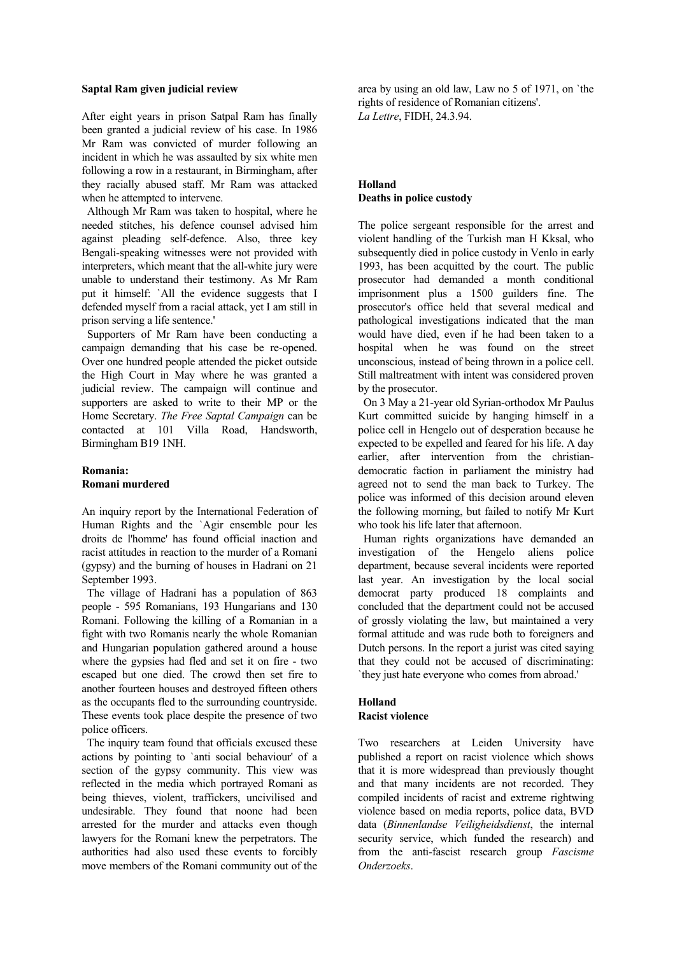#### **Saptal Ram given judicial review**

After eight years in prison Satpal Ram has finally been granted a judicial review of his case. In 1986 Mr Ram was convicted of murder following an incident in which he was assaulted by six white men following a row in a restaurant, in Birmingham, after they racially abused staff. Mr Ram was attacked when he attempted to intervene.

 Although Mr Ram was taken to hospital, where he needed stitches, his defence counsel advised him against pleading self-defence. Also, three key Bengali-speaking witnesses were not provided with interpreters, which meant that the all-white jury were unable to understand their testimony. As Mr Ram put it himself: `All the evidence suggests that I defended myself from a racial attack, yet I am still in prison serving a life sentence.'

 Supporters of Mr Ram have been conducting a campaign demanding that his case be re-opened. Over one hundred people attended the picket outside the High Court in May where he was granted a judicial review. The campaign will continue and supporters are asked to write to their MP or the Home Secretary. *The Free Saptal Campaign* can be contacted at 101 Villa Road, Handsworth, Birmingham B19 1NH.

# **Romania: Romani murdered**

An inquiry report by the International Federation of Human Rights and the `Agir ensemble pour les droits de l'homme' has found official inaction and racist attitudes in reaction to the murder of a Romani (gypsy) and the burning of houses in Hadrani on 21 September 1993.

 The village of Hadrani has a population of 863 people - 595 Romanians, 193 Hungarians and 130 Romani. Following the killing of a Romanian in a fight with two Romanis nearly the whole Romanian and Hungarian population gathered around a house where the gypsies had fled and set it on fire - two escaped but one died. The crowd then set fire to another fourteen houses and destroyed fifteen others as the occupants fled to the surrounding countryside. These events took place despite the presence of two police officers.

 The inquiry team found that officials excused these actions by pointing to `anti social behaviour' of a section of the gypsy community. This view was reflected in the media which portrayed Romani as being thieves, violent, traffickers, uncivilised and undesirable. They found that noone had been arrested for the murder and attacks even though lawyers for the Romani knew the perpetrators. The authorities had also used these events to forcibly move members of the Romani community out of the

area by using an old law, Law no 5 of 1971, on `the rights of residence of Romanian citizens'. *La Lettre*, FIDH, 24.3.94.

# **Holland Deaths in police custody**

The police sergeant responsible for the arrest and violent handling of the Turkish man H Kksal, who subsequently died in police custody in Venlo in early 1993, has been acquitted by the court. The public prosecutor had demanded a month conditional imprisonment plus a 1500 guilders fine. The prosecutor's office held that several medical and pathological investigations indicated that the man would have died, even if he had been taken to a hospital when he was found on the street unconscious, instead of being thrown in a police cell. Still maltreatment with intent was considered proven by the prosecutor.

 On 3 May a 21-year old Syrian-orthodox Mr Paulus Kurt committed suicide by hanging himself in a police cell in Hengelo out of desperation because he expected to be expelled and feared for his life. A day earlier, after intervention from the christiandemocratic faction in parliament the ministry had agreed not to send the man back to Turkey. The police was informed of this decision around eleven the following morning, but failed to notify Mr Kurt who took his life later that afternoon.

 Human rights organizations have demanded an investigation of the Hengelo aliens police department, because several incidents were reported last year. An investigation by the local social democrat party produced 18 complaints and concluded that the department could not be accused of grossly violating the law, but maintained a very formal attitude and was rude both to foreigners and Dutch persons. In the report a jurist was cited saying that they could not be accused of discriminating: `they just hate everyone who comes from abroad.'

# **Holland**

# **Racist violence**

Two researchers at Leiden University have published a report on racist violence which shows that it is more widespread than previously thought and that many incidents are not recorded. They compiled incidents of racist and extreme rightwing violence based on media reports, police data, BVD data (*Binnenlandse Veiligheidsdienst*, the internal security service, which funded the research) and from the anti-fascist research group *Fascisme Onderzoeks*.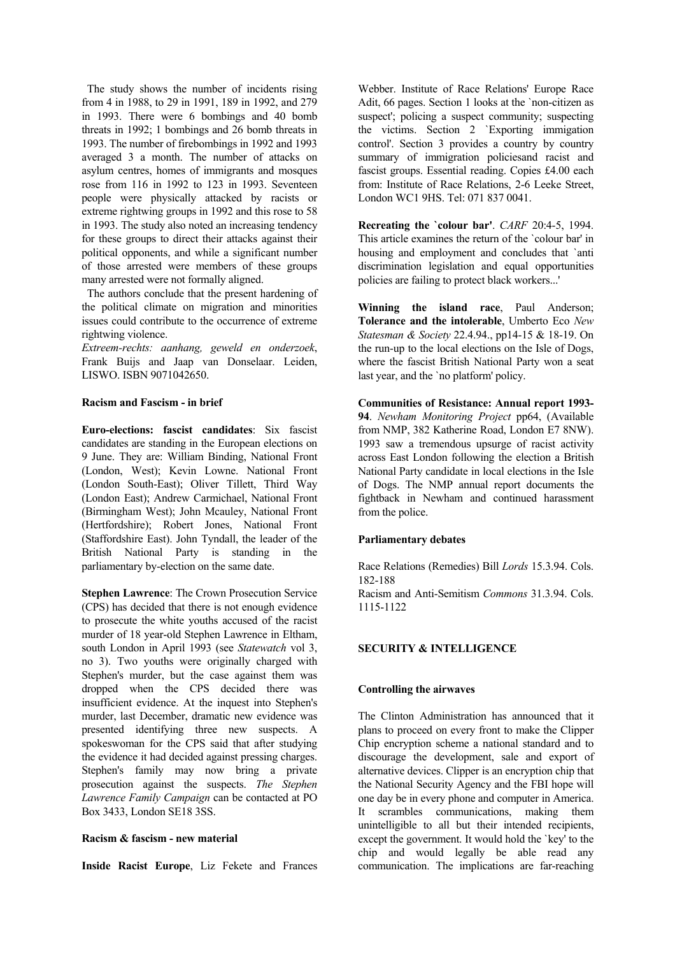The study shows the number of incidents rising from 4 in 1988, to 29 in 1991, 189 in 1992, and 279 in 1993. There were 6 bombings and 40 bomb threats in 1992; 1 bombings and 26 bomb threats in 1993. The number of firebombings in 1992 and 1993 averaged 3 a month. The number of attacks on asylum centres, homes of immigrants and mosques rose from 116 in 1992 to 123 in 1993. Seventeen people were physically attacked by racists or extreme rightwing groups in 1992 and this rose to 58 in 1993. The study also noted an increasing tendency for these groups to direct their attacks against their political opponents, and while a significant number of those arrested were members of these groups many arrested were not formally aligned.

 The authors conclude that the present hardening of the political climate on migration and minorities issues could contribute to the occurrence of extreme rightwing violence.

*Extreem-rechts: aanhang, geweld en onderzoek*, Frank Buijs and Jaap van Donselaar. Leiden, LISWO. ISBN 9071042650.

#### **Racism and Fascism - in brief**

**Euro-elections: fascist candidates**: Six fascist candidates are standing in the European elections on 9 June. They are: William Binding, National Front (London, West); Kevin Lowne. National Front (London South-East); Oliver Tillett, Third Way (London East); Andrew Carmichael, National Front (Birmingham West); John Mcauley, National Front (Hertfordshire); Robert Jones, National Front (Staffordshire East). John Tyndall, the leader of the British National Party is standing in the parliamentary by-election on the same date.

**Stephen Lawrence**: The Crown Prosecution Service (CPS) has decided that there is not enough evidence to prosecute the white youths accused of the racist murder of 18 year-old Stephen Lawrence in Eltham, south London in April 1993 (see *Statewatch* vol 3, no 3). Two youths were originally charged with Stephen's murder, but the case against them was dropped when the CPS decided there was insufficient evidence. At the inquest into Stephen's murder, last December, dramatic new evidence was presented identifying three new suspects. A spokeswoman for the CPS said that after studying the evidence it had decided against pressing charges. Stephen's family may now bring a private prosecution against the suspects. *The Stephen Lawrence Family Campaign* can be contacted at PO Box 3433, London SE18 3SS.

#### **Racism & fascism - new material**

**Inside Racist Europe**, Liz Fekete and Frances

Webber. Institute of Race Relations' Europe Race Adit, 66 pages. Section 1 looks at the `non-citizen as suspect'; policing a suspect community; suspecting the victims. Section 2 `Exporting immigation control'. Section 3 provides a country by country summary of immigration policiesand racist and fascist groups. Essential reading. Copies £4.00 each from: Institute of Race Relations, 2-6 Leeke Street, London WC1 9HS. Tel: 071 837 0041.

**Recreating the `colour bar'**. *CARF* 20:4-5, 1994. This article examines the return of the `colour bar' in housing and employment and concludes that `anti discrimination legislation and equal opportunities policies are failing to protect black workers...'

**Winning the island race**, Paul Anderson; **Tolerance and the intolerable**, Umberto Eco *New Statesman & Society* 22.4.94., pp14-15 & 18-19. On the run-up to the local elections on the Isle of Dogs, where the fascist British National Party won a seat last year, and the `no platform' policy.

**Communities of Resistance: Annual report 1993- 94**. *Newham Monitoring Project* pp64, (Available from NMP, 382 Katherine Road, London E7 8NW). 1993 saw a tremendous upsurge of racist activity across East London following the election a British National Party candidate in local elections in the Isle of Dogs. The NMP annual report documents the fightback in Newham and continued harassment from the police.

# **Parliamentary debates**

1115-1122

Race Relations (Remedies) Bill *Lords* 15.3.94. Cols. 182-188 Racism and Anti-Semitism *Commons* 31.3.94. Cols.

#### **SECURITY & INTELLIGENCE**

#### **Controlling the airwaves**

The Clinton Administration has announced that it plans to proceed on every front to make the Clipper Chip encryption scheme a national standard and to discourage the development, sale and export of alternative devices. Clipper is an encryption chip that the National Security Agency and the FBI hope will one day be in every phone and computer in America. It scrambles communications, making them unintelligible to all but their intended recipients, except the government. It would hold the `key' to the chip and would legally be able read any communication. The implications are far-reaching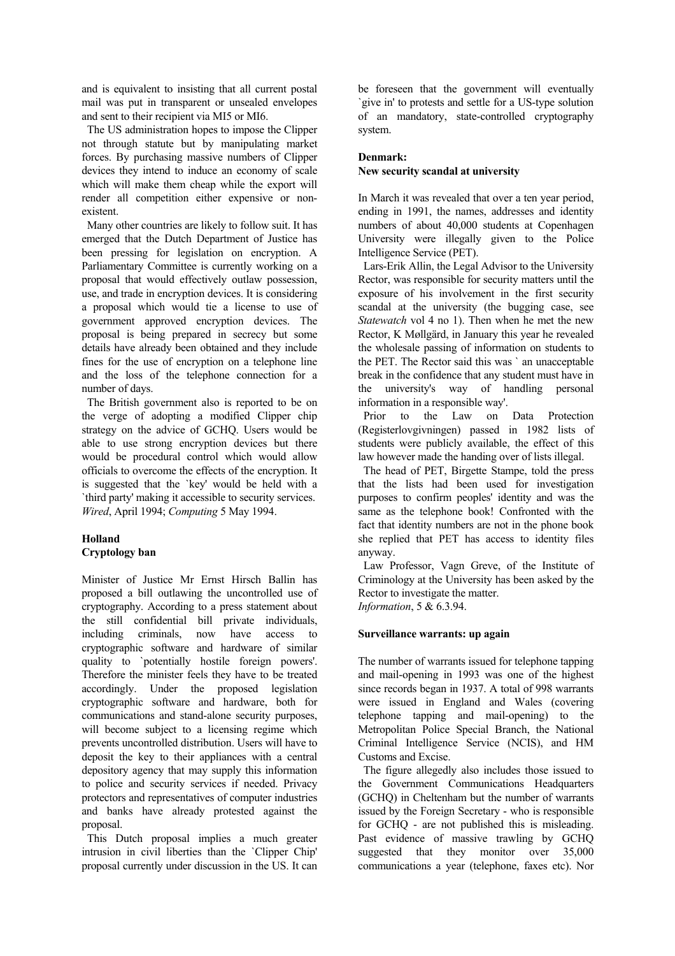and is equivalent to insisting that all current postal mail was put in transparent or unsealed envelopes and sent to their recipient via MI5 or MI6.

 The US administration hopes to impose the Clipper not through statute but by manipulating market forces. By purchasing massive numbers of Clipper devices they intend to induce an economy of scale which will make them cheap while the export will render all competition either expensive or nonexistent.

 Many other countries are likely to follow suit. It has emerged that the Dutch Department of Justice has been pressing for legislation on encryption. A Parliamentary Committee is currently working on a proposal that would effectively outlaw possession, use, and trade in encryption devices. It is considering a proposal which would tie a license to use of government approved encryption devices. The proposal is being prepared in secrecy but some details have already been obtained and they include fines for the use of encryption on a telephone line and the loss of the telephone connection for a number of days.

 The British government also is reported to be on the verge of adopting a modified Clipper chip strategy on the advice of GCHQ. Users would be able to use strong encryption devices but there would be procedural control which would allow officials to overcome the effects of the encryption. It is suggested that the `key' would be held with a `third party' making it accessible to security services. *Wired*, April 1994; *Computing* 5 May 1994.

# **Holland Cryptology ban**

Minister of Justice Mr Ernst Hirsch Ballin has proposed a bill outlawing the uncontrolled use of cryptography. According to a press statement about the still confidential bill private individuals, including criminals, now have access to cryptographic software and hardware of similar quality to `potentially hostile foreign powers'. Therefore the minister feels they have to be treated accordingly. Under the proposed legislation cryptographic software and hardware, both for communications and stand-alone security purposes, will become subject to a licensing regime which prevents uncontrolled distribution. Users will have to deposit the key to their appliances with a central depository agency that may supply this information to police and security services if needed. Privacy protectors and representatives of computer industries and banks have already protested against the proposal.

 This Dutch proposal implies a much greater intrusion in civil liberties than the 'Clipper Chip' proposal currently under discussion in the US. It can be foreseen that the government will eventually `give in' to protests and settle for a US-type solution of an mandatory, state-controlled cryptography system.

# **Denmark:**

# **New security scandal at university**

In March it was revealed that over a ten year period, ending in 1991, the names, addresses and identity numbers of about 40,000 students at Copenhagen University were illegally given to the Police Intelligence Service (PET).

 Lars-Erik Allin, the Legal Advisor to the University Rector, was responsible for security matters until the exposure of his involvement in the first security scandal at the university (the bugging case, see *Statewatch* vol 4 no 1). Then when he met the new Rector, K Møllgärd, in January this year he revealed the wholesale passing of information on students to the PET. The Rector said this was ` an unacceptable break in the confidence that any student must have in the university's way of handling personal information in a responsible way'.

 Prior to the Law on Data Protection (Registerlovgivningen) passed in 1982 lists of students were publicly available, the effect of this law however made the handing over of lists illegal.

 The head of PET, Birgette Stampe, told the press that the lists had been used for investigation purposes to confirm peoples' identity and was the same as the telephone book! Confronted with the fact that identity numbers are not in the phone book she replied that PET has access to identity files anyway.

 Law Professor, Vagn Greve, of the Institute of Criminology at the University has been asked by the Rector to investigate the matter.

*Information*, 5 & 6.3.94.

# **Surveillance warrants: up again**

The number of warrants issued for telephone tapping and mail-opening in 1993 was one of the highest since records began in 1937. A total of 998 warrants were issued in England and Wales (covering telephone tapping and mail-opening) to the Metropolitan Police Special Branch, the National Criminal Intelligence Service (NCIS), and HM Customs and Excise.

 The figure allegedly also includes those issued to the Government Communications Headquarters (GCHQ) in Cheltenham but the number of warrants issued by the Foreign Secretary - who is responsible for GCHQ - are not published this is misleading. Past evidence of massive trawling by GCHQ suggested that they monitor over 35,000 communications a year (telephone, faxes etc). Nor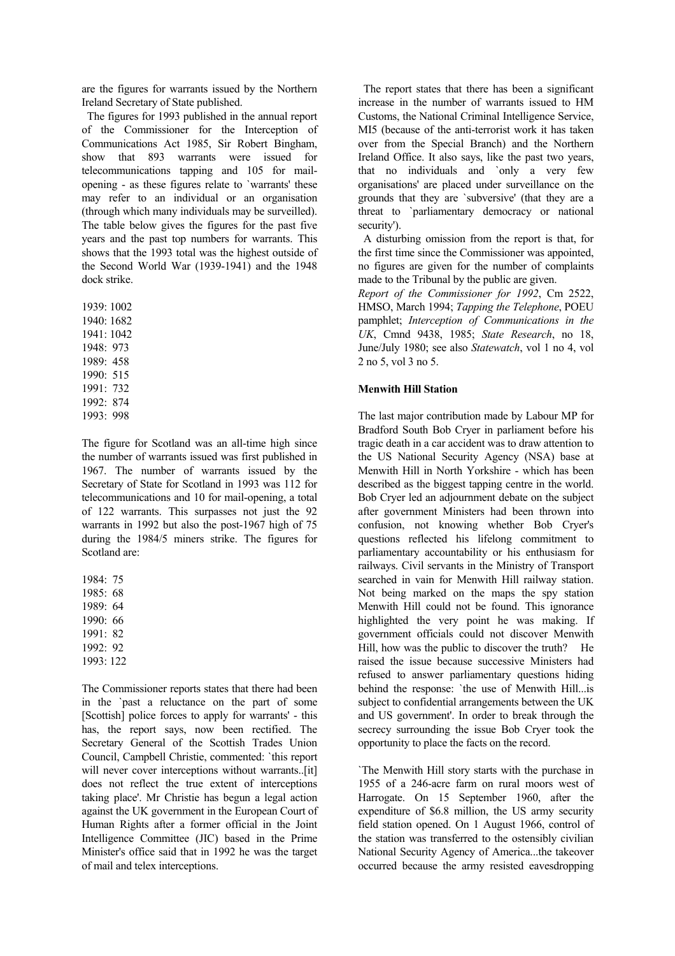are the figures for warrants issued by the Northern Ireland Secretary of State published.

 The figures for 1993 published in the annual report of the Commissioner for the Interception of Communications Act 1985, Sir Robert Bingham, show that 893 warrants were issued for telecommunications tapping and 105 for mailopening - as these figures relate to `warrants' these may refer to an individual or an organisation (through which many individuals may be surveilled). The table below gives the figures for the past five years and the past top numbers for warrants. This shows that the 1993 total was the highest outside of the Second World War (1939-1941) and the 1948 dock strike.

1939: 1002 1940: 1682 1941: 1042 1948: 973 1989: 458 1990: 515 1991: 732 1992: 874 1993: 998

The figure for Scotland was an all-time high since the number of warrants issued was first published in 1967. The number of warrants issued by the Secretary of State for Scotland in 1993 was 112 for telecommunications and 10 for mail-opening, a total of 122 warrants. This surpasses not just the 92 warrants in 1992 but also the post-1967 high of 75 during the 1984/5 miners strike. The figures for Scotland are:

1984: 75 1985: 68 1989: 64 1990: 66 1991: 82 1992: 92 1993: 122

The Commissioner reports states that there had been in the `past a reluctance on the part of some [Scottish] police forces to apply for warrants' - this has, the report says, now been rectified. The Secretary General of the Scottish Trades Union Council, Campbell Christie, commented: `this report will never cover interceptions without warrants..[it] does not reflect the true extent of interceptions taking place'. Mr Christie has begun a legal action against the UK government in the European Court of Human Rights after a former official in the Joint Intelligence Committee (JIC) based in the Prime Minister's office said that in 1992 he was the target of mail and telex interceptions.

 The report states that there has been a significant increase in the number of warrants issued to HM Customs, the National Criminal Intelligence Service, MI5 (because of the anti-terrorist work it has taken over from the Special Branch) and the Northern Ireland Office. It also says, like the past two years, that no individuals and `only a very few organisations' are placed under surveillance on the grounds that they are `subversive' (that they are a threat to `parliamentary democracy or national security').

 A disturbing omission from the report is that, for the first time since the Commissioner was appointed, no figures are given for the number of complaints made to the Tribunal by the public are given.

*Report of the Commissioner for 1992*, Cm 2522, HMSO, March 1994; *Tapping the Telephone*, POEU pamphlet; *Interception of Communications in the UK*, Cmnd 9438, 1985; *State Research*, no 18, June/July 1980; see also *Statewatch*, vol 1 no 4, vol 2 no 5, vol 3 no 5.

#### **Menwith Hill Station**

The last major contribution made by Labour MP for Bradford South Bob Cryer in parliament before his tragic death in a car accident was to draw attention to the US National Security Agency (NSA) base at Menwith Hill in North Yorkshire - which has been described as the biggest tapping centre in the world. Bob Cryer led an adjournment debate on the subject after government Ministers had been thrown into confusion, not knowing whether Bob Cryer's questions reflected his lifelong commitment to parliamentary accountability or his enthusiasm for railways. Civil servants in the Ministry of Transport searched in vain for Menwith Hill railway station. Not being marked on the maps the spy station Menwith Hill could not be found. This ignorance highlighted the very point he was making. If government officials could not discover Menwith Hill, how was the public to discover the truth? He raised the issue because successive Ministers had refused to answer parliamentary questions hiding behind the response: `the use of Menwith Hill...is subject to confidential arrangements between the UK and US government'. In order to break through the secrecy surrounding the issue Bob Cryer took the opportunity to place the facts on the record.

`The Menwith Hill story starts with the purchase in 1955 of a 246-acre farm on rural moors west of Harrogate. On 15 September 1960, after the expenditure of \$6.8 million, the US army security field station opened. On 1 August 1966, control of the station was transferred to the ostensibly civilian National Security Agency of America...the takeover occurred because the army resisted eavesdropping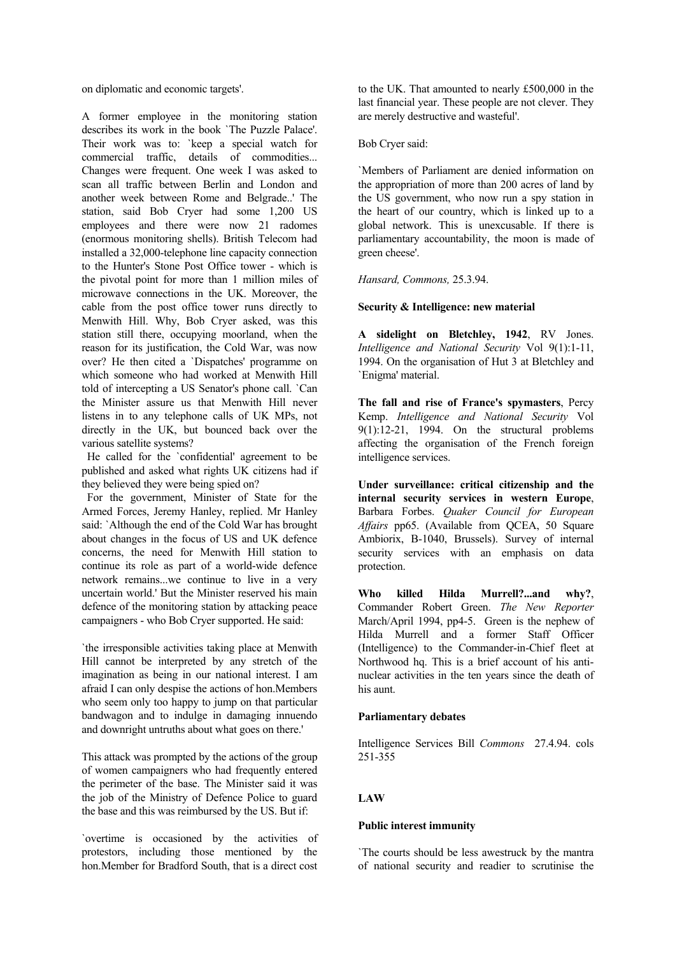on diplomatic and economic targets'.

A former employee in the monitoring station describes its work in the book `The Puzzle Palace'. Their work was to: 'keep a special watch for commercial traffic, details of commodities... Changes were frequent. One week I was asked to scan all traffic between Berlin and London and another week between Rome and Belgrade..' The station, said Bob Cryer had some 1,200 US employees and there were now 21 radomes (enormous monitoring shells). British Telecom had installed a 32,000-telephone line capacity connection to the Hunter's Stone Post Office tower - which is the pivotal point for more than 1 million miles of microwave connections in the UK. Moreover, the cable from the post office tower runs directly to Menwith Hill. Why, Bob Cryer asked, was this station still there, occupying moorland, when the reason for its justification, the Cold War, was now over? He then cited a `Dispatches' programme on which someone who had worked at Menwith Hill told of intercepting a US Senator's phone call. `Can the Minister assure us that Menwith Hill never listens in to any telephone calls of UK MPs, not directly in the UK, but bounced back over the various satellite systems?

 He called for the `confidential' agreement to be published and asked what rights UK citizens had if they believed they were being spied on?

 For the government, Minister of State for the Armed Forces, Jeremy Hanley, replied. Mr Hanley said: `Although the end of the Cold War has brought about changes in the focus of US and UK defence concerns, the need for Menwith Hill station to continue its role as part of a world-wide defence network remains...we continue to live in a very uncertain world.' But the Minister reserved his main defence of the monitoring station by attacking peace campaigners - who Bob Cryer supported. He said:

`the irresponsible activities taking place at Menwith Hill cannot be interpreted by any stretch of the imagination as being in our national interest. I am afraid I can only despise the actions of hon.Members who seem only too happy to jump on that particular bandwagon and to indulge in damaging innuendo and downright untruths about what goes on there.'

This attack was prompted by the actions of the group of women campaigners who had frequently entered the perimeter of the base. The Minister said it was the job of the Ministry of Defence Police to guard the base and this was reimbursed by the US. But if:

`overtime is occasioned by the activities of protestors, including those mentioned by the hon.Member for Bradford South, that is a direct cost

to the UK. That amounted to nearly £500,000 in the last financial year. These people are not clever. They are merely destructive and wasteful'.

Bob Cryer said:

`Members of Parliament are denied information on the appropriation of more than 200 acres of land by the US government, who now run a spy station in the heart of our country, which is linked up to a global network. This is unexcusable. If there is parliamentary accountability, the moon is made of green cheese'.

*Hansard, Commons,* 25.3.94.

## **Security & Intelligence: new material**

**A sidelight on Bletchley, 1942**, RV Jones. *Intelligence and National Security* Vol 9(1):1-11, 1994. On the organisation of Hut 3 at Bletchley and `Enigma' material.

**The fall and rise of France's spymasters**, Percy Kemp. *Intelligence and National Security* Vol  $9(1)$ :12-21, 1994. On the structural problems affecting the organisation of the French foreign intelligence services.

**Under surveillance: critical citizenship and the internal security services in western Europe**, Barbara Forbes. *Quaker Council for European Affairs* pp65. (Available from QCEA, 50 Square Ambiorix, B-1040, Brussels). Survey of internal security services with an emphasis on data protection.

**Who killed Hilda Murrell?...and why?**, Commander Robert Green. *The New Reporter* March/April 1994, pp4-5. Green is the nephew of Hilda Murrell and a former Staff Officer (Intelligence) to the Commander-in-Chief fleet at Northwood hq. This is a brief account of his antinuclear activities in the ten years since the death of his aunt.

# **Parliamentary debates**

Intelligence Services Bill *Commons* 27.4.94. cols 251-355

# **LAW**

# **Public interest immunity**

`The courts should be less awestruck by the mantra of national security and readier to scrutinise the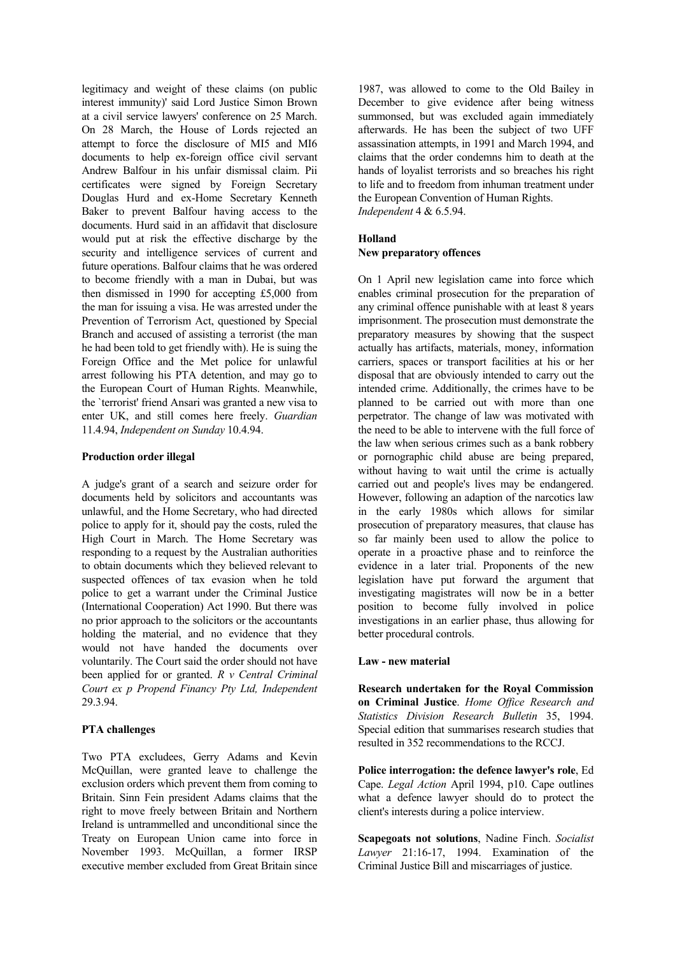legitimacy and weight of these claims (on public interest immunity)' said Lord Justice Simon Brown at a civil service lawyers' conference on 25 March. On 28 March, the House of Lords rejected an attempt to force the disclosure of MI5 and MI6 documents to help ex-foreign office civil servant Andrew Balfour in his unfair dismissal claim. Pii certificates were signed by Foreign Secretary Douglas Hurd and ex-Home Secretary Kenneth Baker to prevent Balfour having access to the documents. Hurd said in an affidavit that disclosure would put at risk the effective discharge by the security and intelligence services of current and future operations. Balfour claims that he was ordered to become friendly with a man in Dubai, but was then dismissed in 1990 for accepting £5,000 from the man for issuing a visa. He was arrested under the Prevention of Terrorism Act, questioned by Special Branch and accused of assisting a terrorist (the man he had been told to get friendly with). He is suing the Foreign Office and the Met police for unlawful arrest following his PTA detention, and may go to the European Court of Human Rights. Meanwhile, the `terrorist' friend Ansari was granted a new visa to enter UK, and still comes here freely. *Guardian* 11.4.94, *Independent on Sunday* 10.4.94.

## **Production order illegal**

A judge's grant of a search and seizure order for documents held by solicitors and accountants was unlawful, and the Home Secretary, who had directed police to apply for it, should pay the costs, ruled the High Court in March. The Home Secretary was responding to a request by the Australian authorities to obtain documents which they believed relevant to suspected offences of tax evasion when he told police to get a warrant under the Criminal Justice (International Cooperation) Act 1990. But there was no prior approach to the solicitors or the accountants holding the material, and no evidence that they would not have handed the documents over voluntarily. The Court said the order should not have been applied for or granted. *R v Central Criminal Court ex p Propend Financy Pty Ltd, Independent* 29.3.94.

#### **PTA challenges**

Two PTA excludees, Gerry Adams and Kevin McQuillan, were granted leave to challenge the exclusion orders which prevent them from coming to Britain. Sinn Fein president Adams claims that the right to move freely between Britain and Northern Ireland is untrammelled and unconditional since the Treaty on European Union came into force in November 1993. McQuillan, a former IRSP executive member excluded from Great Britain since

1987, was allowed to come to the Old Bailey in December to give evidence after being witness summonsed, but was excluded again immediately afterwards. He has been the subject of two UFF assassination attempts, in 1991 and March 1994, and claims that the order condemns him to death at the hands of loyalist terrorists and so breaches his right to life and to freedom from inhuman treatment under the European Convention of Human Rights. *Independent* 4 & 6.5.94.

# **Holland New preparatory offences**

# On 1 April new legislation came into force which

enables criminal prosecution for the preparation of any criminal offence punishable with at least 8 years imprisonment. The prosecution must demonstrate the preparatory measures by showing that the suspect actually has artifacts, materials, money, information carriers, spaces or transport facilities at his or her disposal that are obviously intended to carry out the intended crime. Additionally, the crimes have to be planned to be carried out with more than one perpetrator. The change of law was motivated with the need to be able to intervene with the full force of the law when serious crimes such as a bank robbery or pornographic child abuse are being prepared, without having to wait until the crime is actually carried out and people's lives may be endangered. However, following an adaption of the narcotics law in the early 1980s which allows for similar prosecution of preparatory measures, that clause has so far mainly been used to allow the police to operate in a proactive phase and to reinforce the evidence in a later trial. Proponents of the new legislation have put forward the argument that investigating magistrates will now be in a better position to become fully involved in police investigations in an earlier phase, thus allowing for better procedural controls.

#### **Law - new material**

**Research undertaken for the Royal Commission on Criminal Justice**. *Home Office Research and Statistics Division Research Bulletin* 35, 1994. Special edition that summarises research studies that resulted in 352 recommendations to the RCCJ.

**Police interrogation: the defence lawyer's role**, Ed Cape. *Legal Action* April 1994, p10. Cape outlines what a defence lawyer should do to protect the client's interests during a police interview.

**Scapegoats not solutions**, Nadine Finch. *Socialist Lawyer* 21:16-17, 1994. Examination of the Criminal Justice Bill and miscarriages of justice.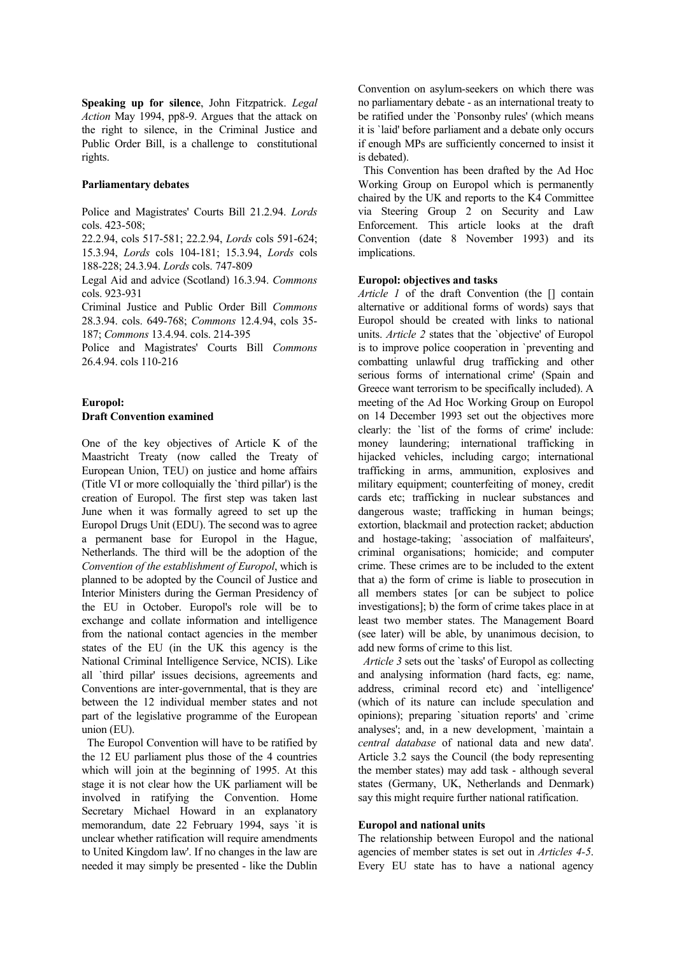**Speaking up for silence**, John Fitzpatrick. *Legal Action* May 1994, pp8-9. Argues that the attack on the right to silence, in the Criminal Justice and Public Order Bill, is a challenge to constitutional rights.

#### **Parliamentary debates**

Police and Magistrates' Courts Bill 21.2.94. *Lords* cols. 423-508;

22.2.94, cols 517-581; 22.2.94, *Lords* cols 591-624; 15.3.94, *Lords* cols 104-181; 15.3.94, *Lords* cols 188-228; 24.3.94. *Lords* cols. 747-809

Legal Aid and advice (Scotland) 16.3.94. *Commons* cols. 923-931

Criminal Justice and Public Order Bill *Commons* 28.3.94. cols. 649-768; *Commons* 12.4.94, cols 35- 187; *Commons* 13.4.94. cols. 214-395

Police and Magistrates' Courts Bill *Commons* 26.4.94. cols 110-216

# **Europol: Draft Convention examined**

One of the key objectives of Article K of the Maastricht Treaty (now called the Treaty of European Union, TEU) on justice and home affairs (Title VI or more colloquially the `third pillar') is the creation of Europol. The first step was taken last June when it was formally agreed to set up the Europol Drugs Unit (EDU). The second was to agree a permanent base for Europol in the Hague, Netherlands. The third will be the adoption of the *Convention of the establishment of Europol*, which is planned to be adopted by the Council of Justice and Interior Ministers during the German Presidency of the EU in October. Europol's role will be to exchange and collate information and intelligence from the national contact agencies in the member states of the EU (in the UK this agency is the National Criminal Intelligence Service, NCIS). Like all `third pillar' issues decisions, agreements and Conventions are inter-governmental, that is they are between the 12 individual member states and not part of the legislative programme of the European union (EU).

 The Europol Convention will have to be ratified by the 12 EU parliament plus those of the 4 countries which will join at the beginning of 1995. At this stage it is not clear how the UK parliament will be involved in ratifying the Convention. Home Secretary Michael Howard in an explanatory memorandum, date 22 February 1994, says `it is unclear whether ratification will require amendments to United Kingdom law'. If no changes in the law are needed it may simply be presented - like the Dublin

Convention on asylum-seekers on which there was no parliamentary debate - as an international treaty to be ratified under the `Ponsonby rules' (which means it is `laid' before parliament and a debate only occurs if enough MPs are sufficiently concerned to insist it is debated).

 This Convention has been drafted by the Ad Hoc Working Group on Europol which is permanently chaired by the UK and reports to the K4 Committee via Steering Group 2 on Security and Law Enforcement. This article looks at the draft Convention (date 8 November 1993) and its implications.

# **Europol: objectives and tasks**

*Article 1* of the draft Convention (the [] contain alternative or additional forms of words) says that Europol should be created with links to national units. *Article 2* states that the `objective' of Europol is to improve police cooperation in `preventing and combatting unlawful drug trafficking and other serious forms of international crime' (Spain and Greece want terrorism to be specifically included). A meeting of the Ad Hoc Working Group on Europol on 14 December 1993 set out the objectives more clearly: the `list of the forms of crime' include: money laundering; international trafficking in hijacked vehicles, including cargo; international trafficking in arms, ammunition, explosives and military equipment; counterfeiting of money, credit cards etc; trafficking in nuclear substances and dangerous waste; trafficking in human beings; extortion, blackmail and protection racket; abduction and hostage-taking; `association of malfaiteurs', criminal organisations; homicide; and computer crime. These crimes are to be included to the extent that a) the form of crime is liable to prosecution in all members states [or can be subject to police investigations]; b) the form of crime takes place in at least two member states. The Management Board (see later) will be able, by unanimous decision, to add new forms of crime to this list.

 *Article 3* sets out the `tasks' of Europol as collecting and analysing information (hard facts, eg: name, address, criminal record etc) and `intelligence' (which of its nature can include speculation and opinions); preparing `situation reports' and `crime analyses'; and, in a new development, `maintain a *central database* of national data and new data'. Article 3.2 says the Council (the body representing the member states) may add task - although several states (Germany, UK, Netherlands and Denmark) say this might require further national ratification.

# **Europol and national units**

The relationship between Europol and the national agencies of member states is set out in *Articles 4-5*. Every EU state has to have a national agency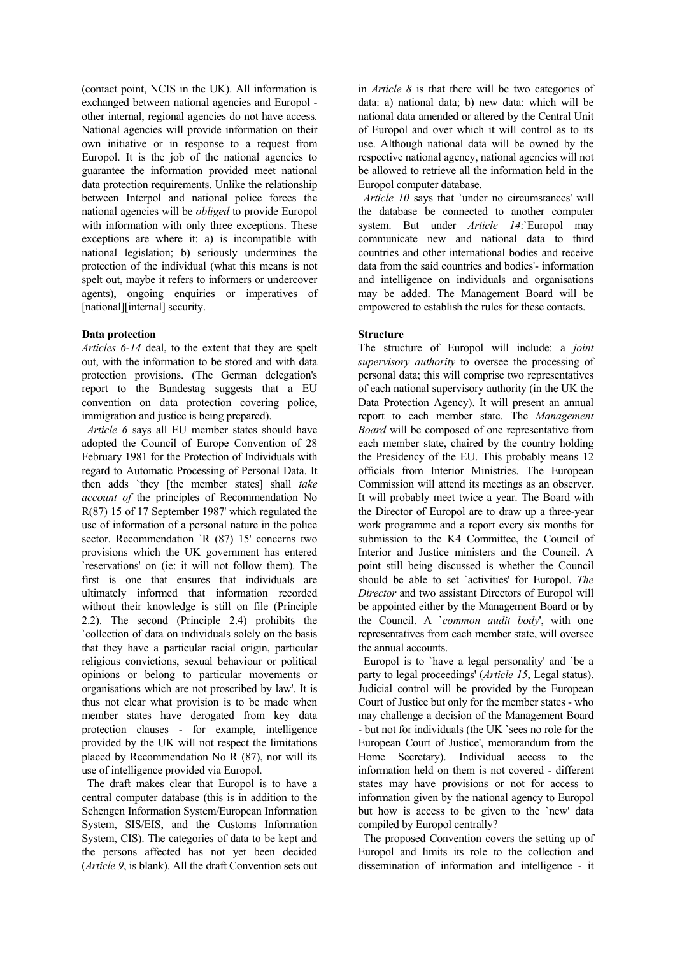(contact point, NCIS in the UK). All information is exchanged between national agencies and Europol other internal, regional agencies do not have access. National agencies will provide information on their own initiative or in response to a request from Europol. It is the job of the national agencies to guarantee the information provided meet national data protection requirements. Unlike the relationship between Interpol and national police forces the national agencies will be *obliged* to provide Europol with information with only three exceptions. These exceptions are where it: a) is incompatible with national legislation; b) seriously undermines the protection of the individual (what this means is not spelt out, maybe it refers to informers or undercover agents), ongoing enquiries or imperatives of [national][internal] security.

## **Data protection**

*Articles 6-14* deal, to the extent that they are spelt out, with the information to be stored and with data protection provisions. (The German delegation's report to the Bundestag suggests that a EU convention on data protection covering police, immigration and justice is being prepared).

 *Article 6* says all EU member states should have adopted the Council of Europe Convention of 28 February 1981 for the Protection of Individuals with regard to Automatic Processing of Personal Data. It then adds `they [the member states] shall *take account of* the principles of Recommendation No R(87) 15 of 17 September 1987' which regulated the use of information of a personal nature in the police sector. Recommendation `R (87) 15' concerns two provisions which the UK government has entered `reservations' on (ie: it will not follow them). The first is one that ensures that individuals are ultimately informed that information recorded without their knowledge is still on file (Principle 2.2). The second (Principle 2.4) prohibits the `collection of data on individuals solely on the basis that they have a particular racial origin, particular religious convictions, sexual behaviour or political opinions or belong to particular movements or organisations which are not proscribed by law'. It is thus not clear what provision is to be made when member states have derogated from key data protection clauses - for example, intelligence provided by the UK will not respect the limitations placed by Recommendation No R (87), nor will its use of intelligence provided via Europol.

 The draft makes clear that Europol is to have a central computer database (this is in addition to the Schengen Information System/European Information System, SIS/EIS, and the Customs Information System, CIS). The categories of data to be kept and the persons affected has not yet been decided (*Article 9*, is blank). All the draft Convention sets out

in *Article 8* is that there will be two categories of data: a) national data; b) new data: which will be national data amended or altered by the Central Unit of Europol and over which it will control as to its use. Although national data will be owned by the respective national agency, national agencies will not be allowed to retrieve all the information held in the Europol computer database.

 *Article 10* says that `under no circumstances' will the database be connected to another computer system. But under *Article 14*: Europol may communicate new and national data to third countries and other international bodies and receive data from the said countries and bodies'- information and intelligence on individuals and organisations may be added. The Management Board will be empowered to establish the rules for these contacts.

## **Structure**

The structure of Europol will include: a *joint supervisory authority* to oversee the processing of personal data; this will comprise two representatives of each national supervisory authority (in the UK the Data Protection Agency). It will present an annual report to each member state. The *Management Board* will be composed of one representative from each member state, chaired by the country holding the Presidency of the EU. This probably means 12 officials from Interior Ministries. The European Commission will attend its meetings as an observer. It will probably meet twice a year. The Board with the Director of Europol are to draw up a three-year work programme and a report every six months for submission to the K4 Committee, the Council of Interior and Justice ministers and the Council. A point still being discussed is whether the Council should be able to set `activities' for Europol. *The Director* and two assistant Directors of Europol will be appointed either by the Management Board or by the Council. A `*common audit body*', with one representatives from each member state, will oversee the annual accounts.

 Europol is to `have a legal personality' and `be a party to legal proceedings' (*Article 15*, Legal status). Judicial control will be provided by the European Court of Justice but only for the member states - who may challenge a decision of the Management Board - but not for individuals (the UK `sees no role for the European Court of Justice', memorandum from the Home Secretary). Individual access to the information held on them is not covered - different states may have provisions or not for access to information given by the national agency to Europol but how is access to be given to the `new' data compiled by Europol centrally?

 The proposed Convention covers the setting up of Europol and limits its role to the collection and dissemination of information and intelligence - it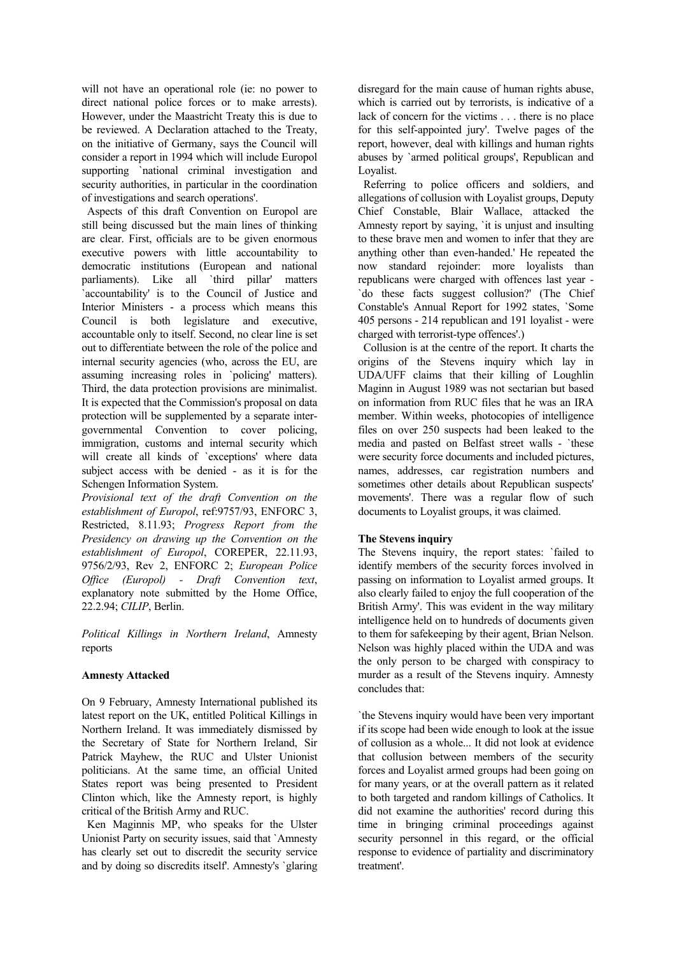will not have an operational role (ie: no power to direct national police forces or to make arrests). However, under the Maastricht Treaty this is due to be reviewed. A Declaration attached to the Treaty, on the initiative of Germany, says the Council will consider a report in 1994 which will include Europol supporting `national criminal investigation and security authorities, in particular in the coordination of investigations and search operations'.

 Aspects of this draft Convention on Europol are still being discussed but the main lines of thinking are clear. First, officials are to be given enormous executive powers with little accountability to democratic institutions (European and national parliaments). Like all `third pillar' matters `accountability' is to the Council of Justice and Interior Ministers - a process which means this Council is both legislature and executive, accountable only to itself. Second, no clear line is set out to differentiate between the role of the police and internal security agencies (who, across the EU, are assuming increasing roles in `policing' matters). Third, the data protection provisions are minimalist. It is expected that the Commission's proposal on data protection will be supplemented by a separate intergovernmental Convention to cover policing, immigration, customs and internal security which will create all kinds of 'exceptions' where data subject access with be denied - as it is for the Schengen Information System.

*Provisional text of the draft Convention on the establishment of Europol*, ref:9757/93, ENFORC 3, Restricted, 8.11.93; *Progress Report from the Presidency on drawing up the Convention on the establishment of Europol*, COREPER, 22.11.93, 9756/2/93, Rev 2, ENFORC 2; *European Police Office (Europol) - Draft Convention text*, explanatory note submitted by the Home Office, 22.2.94; *CILIP*, Berlin.

*Political Killings in Northern Ireland*, Amnesty reports

# **Amnesty Attacked**

On 9 February, Amnesty International published its latest report on the UK, entitled Political Killings in Northern Ireland. It was immediately dismissed by the Secretary of State for Northern Ireland, Sir Patrick Mayhew, the RUC and Ulster Unionist politicians. At the same time, an official United States report was being presented to President Clinton which, like the Amnesty report, is highly critical of the British Army and RUC.

 Ken Maginnis MP, who speaks for the Ulster Unionist Party on security issues, said that `Amnesty has clearly set out to discredit the security service and by doing so discredits itself'. Amnesty's `glaring disregard for the main cause of human rights abuse, which is carried out by terrorists, is indicative of a lack of concern for the victims . . . there is no place for this self-appointed jury'. Twelve pages of the report, however, deal with killings and human rights abuses by `armed political groups', Republican and Loyalist.

 Referring to police officers and soldiers, and allegations of collusion with Loyalist groups, Deputy Chief Constable, Blair Wallace, attacked the Amnesty report by saying, `it is unjust and insulting to these brave men and women to infer that they are anything other than even-handed.' He repeated the now standard rejoinder: more loyalists than republicans were charged with offences last year - `do these facts suggest collusion?' (The Chief Constable's Annual Report for 1992 states, `Some 405 persons - 214 republican and 191 loyalist - were charged with terrorist-type offences'.)

 Collusion is at the centre of the report. It charts the origins of the Stevens inquiry which lay in UDA/UFF claims that their killing of Loughlin Maginn in August 1989 was not sectarian but based on information from RUC files that he was an IRA member. Within weeks, photocopies of intelligence files on over 250 suspects had been leaked to the media and pasted on Belfast street walls - `these were security force documents and included pictures, names, addresses, car registration numbers and sometimes other details about Republican suspects' movements'. There was a regular flow of such documents to Loyalist groups, it was claimed.

# **The Stevens inquiry**

The Stevens inquiry, the report states: `failed to identify members of the security forces involved in passing on information to Loyalist armed groups. It also clearly failed to enjoy the full cooperation of the British Army'. This was evident in the way military intelligence held on to hundreds of documents given to them for safekeeping by their agent, Brian Nelson. Nelson was highly placed within the UDA and was the only person to be charged with conspiracy to murder as a result of the Stevens inquiry. Amnesty concludes that:

`the Stevens inquiry would have been very important if its scope had been wide enough to look at the issue of collusion as a whole... It did not look at evidence that collusion between members of the security forces and Loyalist armed groups had been going on for many years, or at the overall pattern as it related to both targeted and random killings of Catholics. It did not examine the authorities' record during this time in bringing criminal proceedings against security personnel in this regard, or the official response to evidence of partiality and discriminatory treatment'.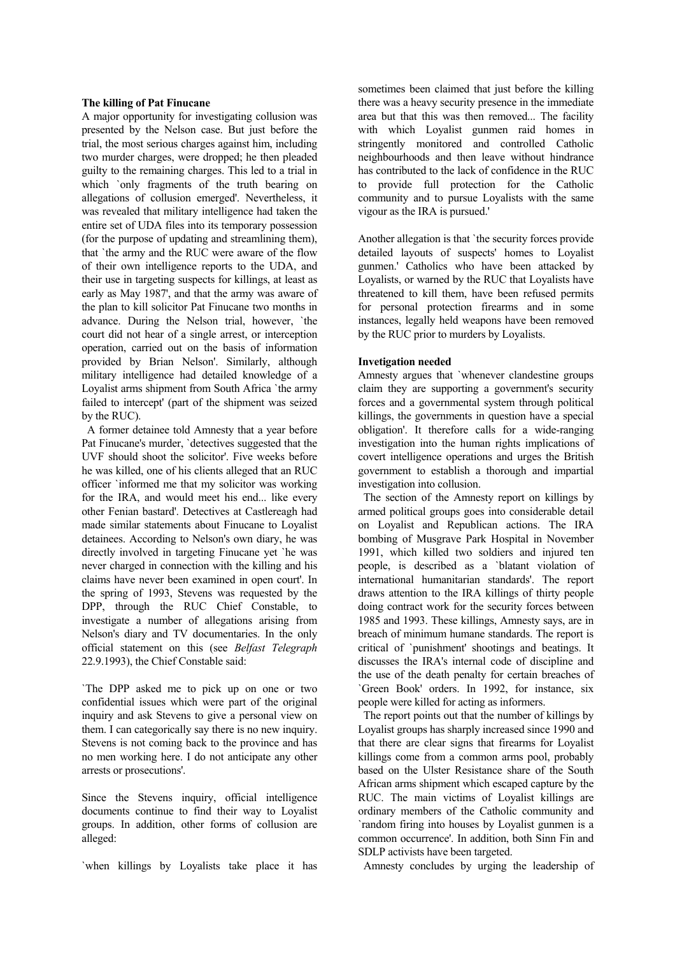#### **The killing of Pat Finucane**

A major opportunity for investigating collusion was presented by the Nelson case. But just before the trial, the most serious charges against him, including two murder charges, were dropped; he then pleaded guilty to the remaining charges. This led to a trial in which `only fragments of the truth bearing on allegations of collusion emerged'. Nevertheless, it was revealed that military intelligence had taken the entire set of UDA files into its temporary possession (for the purpose of updating and streamlining them), that `the army and the RUC were aware of the flow of their own intelligence reports to the UDA, and their use in targeting suspects for killings, at least as early as May 1987', and that the army was aware of the plan to kill solicitor Pat Finucane two months in advance. During the Nelson trial, however, `the court did not hear of a single arrest, or interception operation, carried out on the basis of information provided by Brian Nelson'. Similarly, although military intelligence had detailed knowledge of a Loyalist arms shipment from South Africa `the army failed to intercept' (part of the shipment was seized by the RUC).

 A former detainee told Amnesty that a year before Pat Finucane's murder, `detectives suggested that the UVF should shoot the solicitor'. Five weeks before he was killed, one of his clients alleged that an RUC officer `informed me that my solicitor was working for the IRA, and would meet his end... like every other Fenian bastard'. Detectives at Castlereagh had made similar statements about Finucane to Loyalist detainees. According to Nelson's own diary, he was directly involved in targeting Finucane yet `he was never charged in connection with the killing and his claims have never been examined in open court'. In the spring of 1993, Stevens was requested by the DPP, through the RUC Chief Constable, to investigate a number of allegations arising from Nelson's diary and TV documentaries. In the only official statement on this (see *Belfast Telegraph* 22.9.1993), the Chief Constable said:

`The DPP asked me to pick up on one or two confidential issues which were part of the original inquiry and ask Stevens to give a personal view on them. I can categorically say there is no new inquiry. Stevens is not coming back to the province and has no men working here. I do not anticipate any other arrests or prosecutions'.

Since the Stevens inquiry, official intelligence documents continue to find their way to Loyalist groups. In addition, other forms of collusion are alleged:

`when killings by Loyalists take place it has

sometimes been claimed that just before the killing there was a heavy security presence in the immediate area but that this was then removed... The facility with which Loyalist gunmen raid homes in stringently monitored and controlled Catholic neighbourhoods and then leave without hindrance has contributed to the lack of confidence in the RUC to provide full protection for the Catholic community and to pursue Loyalists with the same vigour as the IRA is pursued.'

Another allegation is that `the security forces provide detailed layouts of suspects' homes to Loyalist gunmen.' Catholics who have been attacked by Loyalists, or warned by the RUC that Loyalists have threatened to kill them, have been refused permits for personal protection firearms and in some instances, legally held weapons have been removed by the RUC prior to murders by Loyalists.

## **Invetigation needed**

Amnesty argues that `whenever clandestine groups claim they are supporting a government's security forces and a governmental system through political killings, the governments in question have a special obligation'. It therefore calls for a wide-ranging investigation into the human rights implications of covert intelligence operations and urges the British government to establish a thorough and impartial investigation into collusion.

 The section of the Amnesty report on killings by armed political groups goes into considerable detail on Loyalist and Republican actions. The IRA bombing of Musgrave Park Hospital in November 1991, which killed two soldiers and injured ten people, is described as a `blatant violation of international humanitarian standards'. The report draws attention to the IRA killings of thirty people doing contract work for the security forces between 1985 and 1993. These killings, Amnesty says, are in breach of minimum humane standards. The report is critical of `punishment' shootings and beatings. It discusses the IRA's internal code of discipline and the use of the death penalty for certain breaches of `Green Book' orders. In 1992, for instance, six people were killed for acting as informers.

 The report points out that the number of killings by Loyalist groups has sharply increased since 1990 and that there are clear signs that firearms for Loyalist killings come from a common arms pool, probably based on the Ulster Resistance share of the South African arms shipment which escaped capture by the RUC. The main victims of Loyalist killings are ordinary members of the Catholic community and `random firing into houses by Loyalist gunmen is a common occurrence'. In addition, both Sinn Fin and SDLP activists have been targeted.

Amnesty concludes by urging the leadership of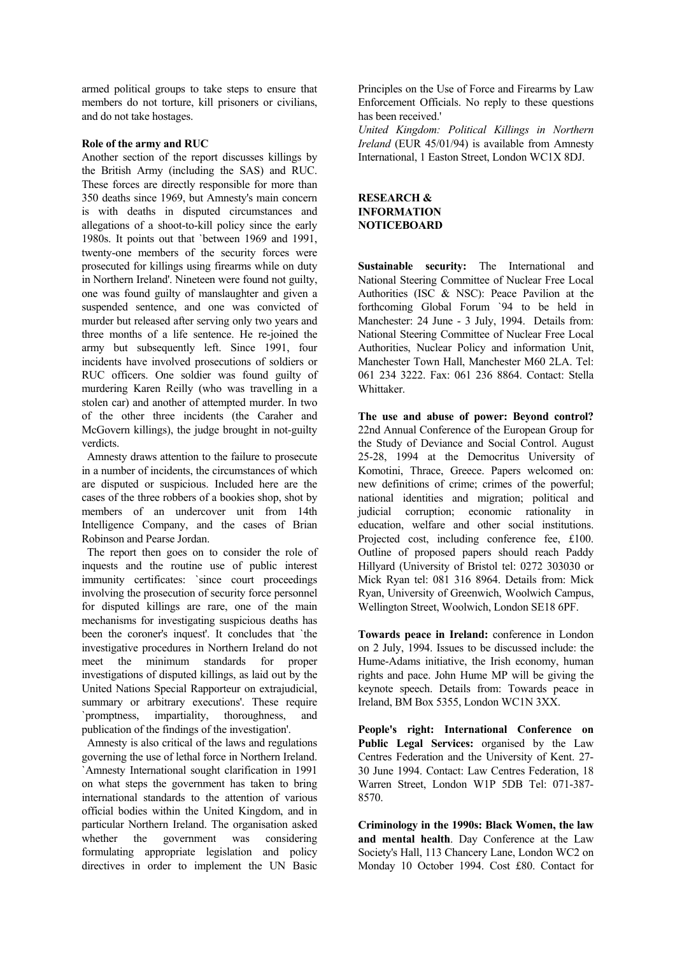armed political groups to take steps to ensure that members do not torture, kill prisoners or civilians, and do not take hostages.

## **Role of the army and RUC**

Another section of the report discusses killings by the British Army (including the SAS) and RUC. These forces are directly responsible for more than 350 deaths since 1969, but Amnesty's main concern is with deaths in disputed circumstances and allegations of a shoot-to-kill policy since the early 1980s. It points out that `between 1969 and 1991, twenty-one members of the security forces were prosecuted for killings using firearms while on duty in Northern Ireland'. Nineteen were found not guilty, one was found guilty of manslaughter and given a suspended sentence, and one was convicted of murder but released after serving only two years and three months of a life sentence. He re-joined the army but subsequently left. Since 1991, four incidents have involved prosecutions of soldiers or RUC officers. One soldier was found guilty of murdering Karen Reilly (who was travelling in a stolen car) and another of attempted murder. In two of the other three incidents (the Caraher and McGovern killings), the judge brought in not-guilty verdicts.

 Amnesty draws attention to the failure to prosecute in a number of incidents, the circumstances of which are disputed or suspicious. Included here are the cases of the three robbers of a bookies shop, shot by members of an undercover unit from 14th Intelligence Company, and the cases of Brian Robinson and Pearse Jordan.

 The report then goes on to consider the role of inquests and the routine use of public interest immunity certificates: `since court proceedings involving the prosecution of security force personnel for disputed killings are rare, one of the main mechanisms for investigating suspicious deaths has been the coroner's inquest'. It concludes that `the investigative procedures in Northern Ireland do not meet the minimum standards for proper investigations of disputed killings, as laid out by the United Nations Special Rapporteur on extrajudicial, summary or arbitrary executions'. These require `promptness, impartiality, thoroughness, and publication of the findings of the investigation'.

 Amnesty is also critical of the laws and regulations governing the use of lethal force in Northern Ireland. `Amnesty International sought clarification in 1991 on what steps the government has taken to bring international standards to the attention of various official bodies within the United Kingdom, and in particular Northern Ireland. The organisation asked whether the government was considering formulating appropriate legislation and policy directives in order to implement the UN Basic

Principles on the Use of Force and Firearms by Law Enforcement Officials. No reply to these questions has been received.'

*United Kingdom: Political Killings in Northern Ireland* (EUR 45/01/94) is available from Amnesty International, 1 Easton Street, London WC1X 8DJ.

# **RESEARCH & INFORMATION NOTICEBOARD**

**Sustainable security:** The International and National Steering Committee of Nuclear Free Local Authorities (ISC & NSC): Peace Pavilion at the forthcoming Global Forum `94 to be held in Manchester: 24 June - 3 July, 1994. Details from: National Steering Committee of Nuclear Free Local Authorities, Nuclear Policy and information Unit, Manchester Town Hall, Manchester M60 2LA. Tel: 061 234 3222. Fax: 061 236 8864. Contact: Stella Whittaker.

**The use and abuse of power: Beyond control?** 22nd Annual Conference of the European Group for the Study of Deviance and Social Control. August 25-28, 1994 at the Democritus University of Komotini, Thrace, Greece. Papers welcomed on: new definitions of crime; crimes of the powerful; national identities and migration; political and judicial corruption; economic rationality in education, welfare and other social institutions. Projected cost, including conference fee, £100. Outline of proposed papers should reach Paddy Hillyard (University of Bristol tel: 0272 303030 or Mick Ryan tel: 081 316 8964. Details from: Mick Ryan, University of Greenwich, Woolwich Campus, Wellington Street, Woolwich, London SE18 6PF.

**Towards peace in Ireland:** conference in London on 2 July, 1994. Issues to be discussed include: the Hume-Adams initiative, the Irish economy, human rights and pace. John Hume MP will be giving the keynote speech. Details from: Towards peace in Ireland, BM Box 5355, London WC1N 3XX.

**People's right: International Conference on Public Legal Services:** organised by the Law Centres Federation and the University of Kent. 27- 30 June 1994. Contact: Law Centres Federation, 18 Warren Street, London W1P 5DB Tel: 071-387- 8570.

**Criminology in the 1990s: Black Women, the law and mental health**. Day Conference at the Law Society's Hall, 113 Chancery Lane, London WC2 on Monday 10 October 1994. Cost £80. Contact for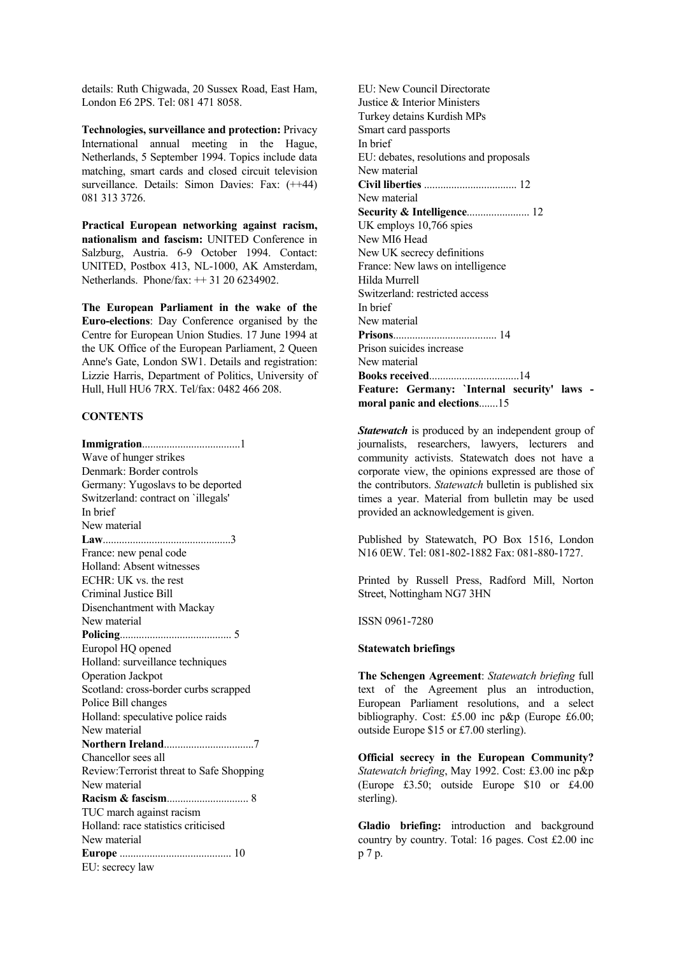details: Ruth Chigwada, 20 Sussex Road, East Ham, London E6 2PS. Tel: 081 471 8058.

**Technologies, surveillance and protection:** Privacy International annual meeting in the Hague, Netherlands, 5 September 1994. Topics include data matching, smart cards and closed circuit television surveillance. Details: Simon Davies: Fax:  $(++44)$ 081 313 3726.

**Practical European networking against racism, nationalism and fascism:** UNITED Conference in Salzburg, Austria. 6-9 October 1994. Contact: UNITED, Postbox 413, NL-1000, AK Amsterdam, Netherlands. Phone/fax: ++ 31 20 6234902.

**The European Parliament in the wake of the Euro-elections**: Day Conference organised by the Centre for European Union Studies. 17 June 1994 at the UK Office of the European Parliament, 2 Queen Anne's Gate, London SW1. Details and registration: Lizzie Harris, Department of Politics, University of Hull, Hull HU6 7RX. Tel/fax: 0482 466 208.

# **CONTENTS**

**Immigration**....................................1 Wave of hunger strikes Denmark: Border controls Germany: Yugoslavs to be deported Switzerland: contract on `illegals' In brief New material **Law**...............................................3 France: new penal code Holland: Absent witnesses ECHR: UK vs. the rest Criminal Justice Bill Disenchantment with Mackay New material **Policing**......................................... 5 Europol HQ opened Holland: surveillance techniques Operation Jackpot Scotland: cross-border curbs scrapped Police Bill changes Holland: speculative police raids New material **Northern Ireland**.................................7 Chancellor sees all Review:Terrorist threat to Safe Shopping New material **Racism & fascism**.............................. 8 TUC march against racism Holland: race statistics criticised New material **Europe** ......................................... 10 EU: secrecy law

EU: New Council Directorate Justice & Interior Ministers Turkey detains Kurdish MPs Smart card passports In brief EU: debates, resolutions and proposals New material **Civil liberties** .................................. 12 New material **Security & Intelligence**....................... 12 UK employs 10,766 spies New MI6 Head New UK secrecy definitions France: New laws on intelligence Hilda Murrell Switzerland: restricted access In brief New material **Prisons**...................................... 14 Prison suicides increase New material **Books received**.................................14 **Feature: Germany: `Internal security' laws moral panic and elections**.......15

*Statewatch* is produced by an independent group of journalists, researchers, lawyers, lecturers and community activists. Statewatch does not have a corporate view, the opinions expressed are those of the contributors. *Statewatch* bulletin is published six times a year. Material from bulletin may be used provided an acknowledgement is given.

Published by Statewatch, PO Box 1516, London N16 0EW. Tel: 081-802-1882 Fax: 081-880-1727.

Printed by Russell Press, Radford Mill, Norton Street, Nottingham NG7 3HN

ISSN 0961-7280

#### **Statewatch briefings**

**The Schengen Agreement**: *Statewatch briefing* full text of the Agreement plus an introduction, European Parliament resolutions, and a select bibliography. Cost: £5.00 inc p&p (Europe £6.00; outside Europe \$15 or £7.00 sterling).

**Official secrecy in the European Community?** *Statewatch briefing*, May 1992. Cost: £3.00 inc p&p (Europe £3.50; outside Europe \$10 or £4.00 sterling).

**Gladio briefing:** introduction and background country by country. Total: 16 pages. Cost £2.00 inc p 7 p.